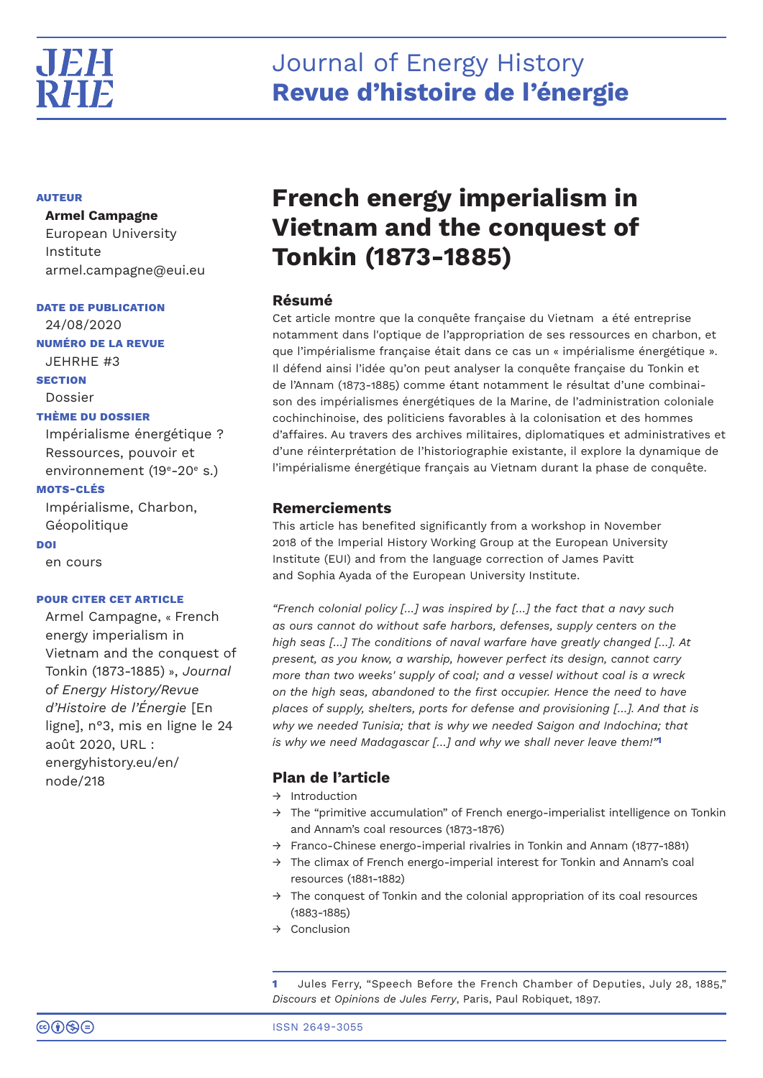# Journal of Energy History **Revue d'histoire de l'énergie**

# **AUTEUR**

# **Armel Campagne**

European University Institute armel.campagne@eui.eu

**DATE DE PUBLICATION**

24/08/2020

**NUMÉRO DE LA REVUE**

JEHRHE #3

**SECTION**

# Dossier

# **THÈME DU DOSSIER**

Impérialisme énergétique ? Ressources, pouvoir et environnement (19<sup>e</sup>-20<sup>e</sup> s.)

# **MOTS-CLÉS**

Impérialisme, Charbon, Géopolitique **DOI**

en cours

# **POUR CITER CET ARTICLE**

Armel Campagne, « French energy imperialism in Vietnam and the conquest of Tonkin (1873-1885) », *Journal of Energy History/Revue d'Histoire de l'Énergie* [En ligne], n°3, mis en ligne le 24 août 2020, URL : energyhistory.eu/en/ node/218

# **French energy imperialism in Vietnam and the conquest of Tonkin (1873-1885)**

# **Résumé**

Cet article montre que la conquête française du Vietnam a été entreprise notamment dans l'optique de l'appropriation de ses ressources en charbon, et que l'impérialisme française était dans ce cas un « impérialisme énergétique ». Il défend ainsi l'idée qu'on peut analyser la conquête française du Tonkin et de l'Annam (1873-1885) comme étant notamment le résultat d'une combinaison des impérialismes énergétiques de la Marine, de l'administration coloniale cochinchinoise, des politiciens favorables à la colonisation et des hommes d'affaires. Au travers des archives militaires, diplomatiques et administratives et d'une réinterprétation de l'historiographie existante, il explore la dynamique de l'impérialisme énergétique français au Vietnam durant la phase de conquête.

# **Remerciements**

This article has benefited significantly from a workshop in November 2018 of the Imperial History Working Group at the European University Institute (EUI) and from the language correction of James Pavitt and Sophia Ayada of the European University Institute.

*"French colonial policy […] was inspired by […] the fact that a navy such as ours cannot do without safe harbors, defenses, supply centers on the high seas […] The conditions of naval warfare have greatly changed […]. At present, as you know, a warship, however perfect its design, cannot carry more than two weeks' supply of coal; and a vessel without coal is a wreck on the high seas, abandoned to the first occupier. Hence the need to have places of supply, shelters, ports for defense and provisioning […]. And that is why we needed Tunisia; that is why we needed Saigon and Indochina; that is why we need Madagascar […] and why we shall never leave them!"***1**

# **Plan de l'article**

- → Introduction
- → The "primitive accumulation" of French energo-imperialist intelligence on Tonkin and Annam's coal resources (1873-1876)
- → Franco-Chinese energo-imperial rivalries in Tonkin and Annam (1877-1881)
- $\rightarrow$  The climax of French energo-imperial interest for Tonkin and Annam's coal resources (1881-1882)
- $\rightarrow$  The conquest of Tonkin and the colonial appropriation of its coal resources (1883-1885)
- → Conclusion

**1** Jules Ferry, "Speech Before the French Chamber of Deputies, July 28, 1885," *Discours et Opinions de Jules Ferry*, Paris, Paul Robiquet, 1897.

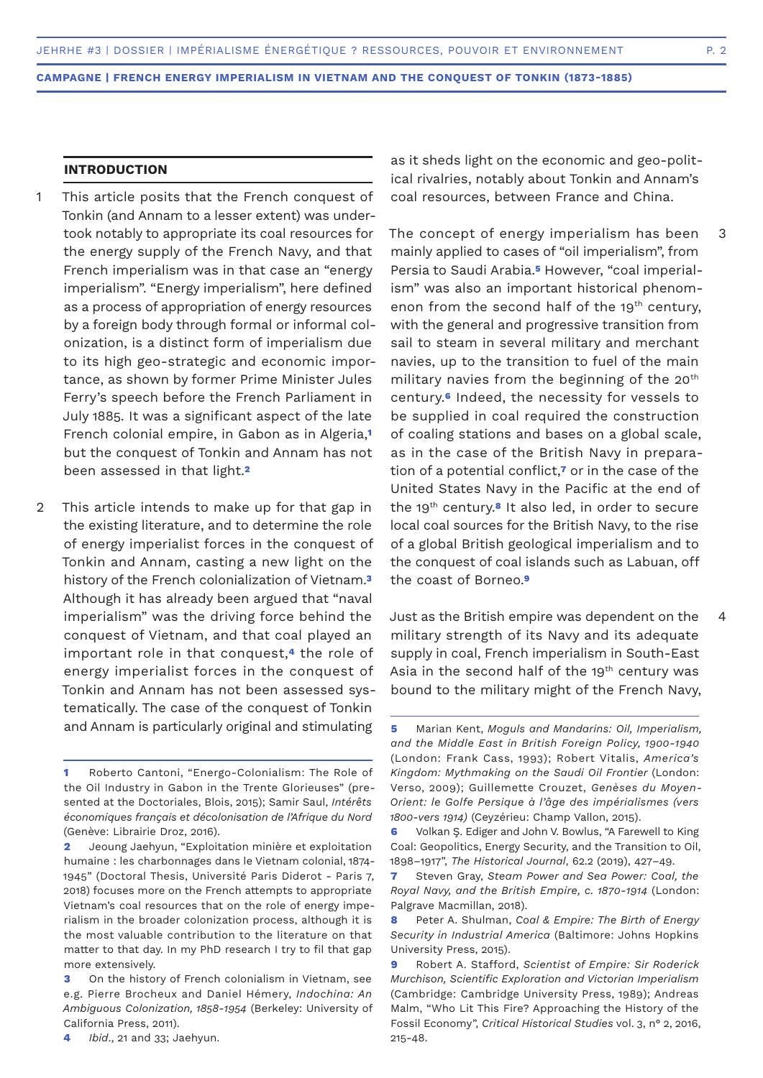# **INTRODUCTION**

- This article posits that the French conquest of Tonkin (and Annam to a lesser extent) was undertook notably to appropriate its coal resources for the energy supply of the French Navy, and that French imperialism was in that case an "energy imperialism". "Energy imperialism", here defined as a process of appropriation of energy resources by a foreign body through formal or informal colonization, is a distinct form of imperialism due to its high geo-strategic and economic importance, as shown by former Prime Minister Jules Ferry's speech before the French Parliament in July 1885. It was a significant aspect of the late French colonial empire, in Gabon as in Algeria,**<sup>1</sup>** but the conquest of Tonkin and Annam has not been assessed in that light.**<sup>2</sup>** 1
- This article intends to make up for that gap in the existing literature, and to determine the role of energy imperialist forces in the conquest of Tonkin and Annam, casting a new light on the history of the French colonialization of Vietnam.**<sup>3</sup>** Although it has already been argued that "naval imperialism" was the driving force behind the conquest of Vietnam, and that coal played an important role in that conquest,**4** the role of energy imperialist forces in the conquest of Tonkin and Annam has not been assessed systematically. The case of the conquest of Tonkin and Annam is particularly original and stimulating 2

as it sheds light on the economic and geo-political rivalries, notably about Tonkin and Annam's coal resources, between France and China.

The concept of energy imperialism has been mainly applied to cases of "oil imperialism", from Persia to Saudi Arabia.**5** However, "coal imperialism" was also an important historical phenomenon from the second half of the  $19<sup>th</sup>$  century, with the general and progressive transition from sail to steam in several military and merchant navies, up to the transition to fuel of the main military navies from the beginning of the 20<sup>th</sup> century.**6** Indeed, the necessity for vessels to be supplied in coal required the construction of coaling stations and bases on a global scale, as in the case of the British Navy in preparation of a potential conflict,**7** or in the case of the United States Navy in the Pacific at the end of the 19th century.**8** It also led, in order to secure local coal sources for the British Navy, to the rise of a global British geological imperialism and to the conquest of coal islands such as Labuan, off the coast of Borneo.**<sup>9</sup>** 3

Just as the British empire was dependent on the military strength of its Navy and its adequate supply in coal, French imperialism in South-East Asia in the second half of the  $19<sup>th</sup>$  century was bound to the military might of the French Navy, 4

**<sup>1</sup>** Roberto Cantoni, "Energo-Colonialism: The Role of the Oil Industry in Gabon in the Trente Glorieuses" (presented at the Doctoriales, Blois, 2015); Samir Saul, *Intérêts économiques français et décolonisation de l'Afrique du Nord* (Genève: Librairie Droz, 2016).

**<sup>2</sup>** Jeoung Jaehyun, "Exploitation minière et exploitation humaine : les charbonnages dans le Vietnam colonial, 1874- 1945" (Doctoral Thesis, Université Paris Diderot - Paris 7, 2018) focuses more on the French attempts to appropriate Vietnam's coal resources that on the role of energy imperialism in the broader colonization process, although it is the most valuable contribution to the literature on that matter to that day. In my PhD research I try to fil that gap more extensively.

**<sup>3</sup>** On the history of French colonialism in Vietnam, see e.g. Pierre Brocheux and Daniel Hémery, *Indochina: An Ambiguous Colonization, 1858-1954* (Berkeley: University of California Press, 2011).

**<sup>4</sup>** *Ibid*., 21 and 33; Jaehyun.

**<sup>5</sup>** Marian Kent, *Moguls and Mandarins: Oil, Imperialism, and the Middle East in British Foreign Policy, 1900-1940* (London: Frank Cass, 1993); Robert Vitalis, *America's Kingdom: Mythmaking on the Saudi Oil Frontier* (London: Verso, 2009); Guillemette Crouzet, *Genèses du Moyen-Orient: le Golfe Persique à l'âge des impérialismes (vers 1800-vers 1914)* (Ceyzérieu: Champ Vallon, 2015).

**<sup>6</sup>** Volkan Ş. Ediger and John V. Bowlus, "A Farewell to King Coal: Geopolitics, Energy Security, and the Transition to Oil, 1898–1917", *The Historical Journal*, 62.2 (2019), 427–49.

**<sup>7</sup>** Steven Gray, *Steam Power and Sea Power: Coal, the Royal Navy, and the British Empire, c. 1870-1914* (London: Palgrave Macmillan, 2018).

**<sup>8</sup>** Peter A. Shulman, *Coal & Empire: The Birth of Energy Security in Industrial America* (Baltimore: Johns Hopkins University Press, 2015).

**<sup>9</sup>** Robert A. Stafford, *Scientist of Empire: Sir Roderick Murchison, Scientific Exploration and Victorian Imperialism*  (Cambridge: Cambridge University Press, 1989); Andreas Malm, "Who Lit This Fire? Approaching the History of the Fossil Economy", *Critical Historical Studies* vol. 3, n° 2, 2016, 215-48.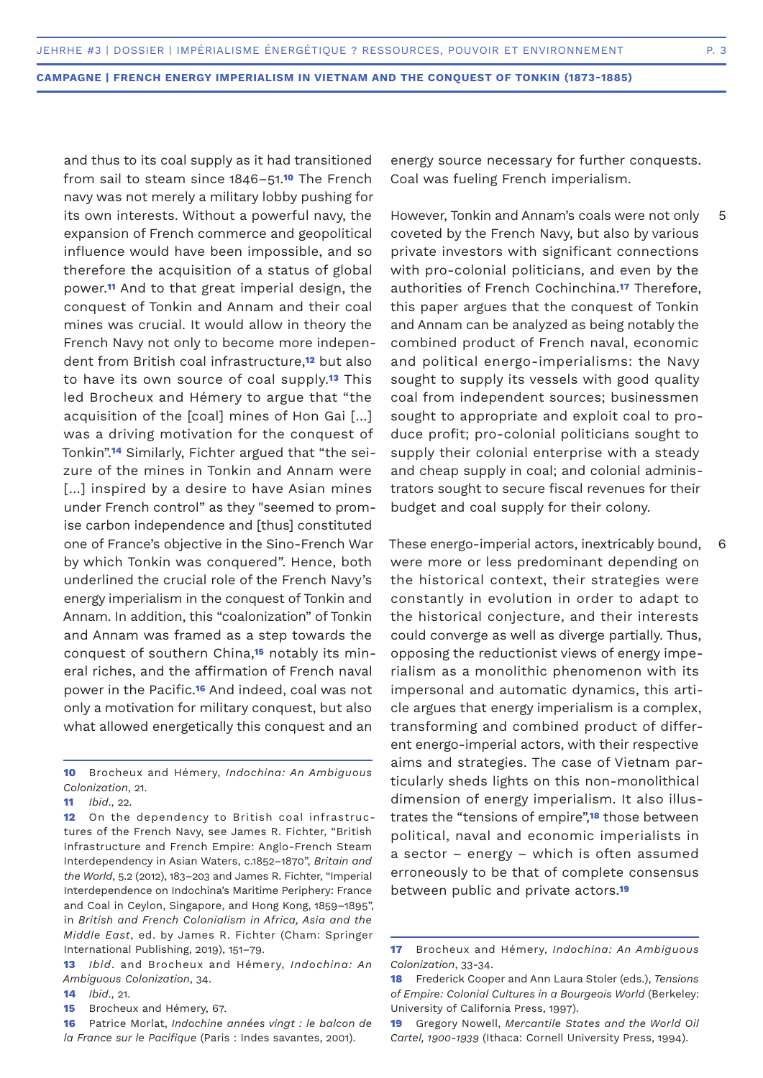and thus to its coal supply as it had transitioned from sail to steam since 1846–51.**10** The French navy was not merely a military lobby pushing for its own interests. Without a powerful navy, the expansion of French commerce and geopolitical influence would have been impossible, and so therefore the acquisition of a status of global power.**11** And to that great imperial design, the conquest of Tonkin and Annam and their coal mines was crucial. It would allow in theory the French Navy not only to become more independent from British coal infrastructure,**12** but also to have its own source of coal supply.**13** This led Brocheux and Hémery to argue that "the acquisition of the [coal] mines of Hon Gai […] was a driving motivation for the conquest of Tonkin".**14** Similarly, Fichter argued that "the seizure of the mines in Tonkin and Annam were [...] inspired by a desire to have Asian mines under French control" as they "seemed to promise carbon independence and [thus] constituted one of France's objective in the Sino-French War by which Tonkin was conquered". Hence, both underlined the crucial role of the French Navy's energy imperialism in the conquest of Tonkin and Annam. In addition, this "coalonization" of Tonkin and Annam was framed as a step towards the conquest of southern China,**15** notably its mineral riches, and the affirmation of French naval power in the Pacific.**16** And indeed, coal was not only a motivation for military conquest, but also what allowed energetically this conquest and an

**10** Brocheux and Hémery, *Indochina: An Ambiguous Colonization*, 21.

**12** On the dependency to British coal infrastructures of the French Navy, see James R. Fichter, "British Infrastructure and French Empire: Anglo-French Steam Interdependency in Asian Waters, c.1852–1870", *Britain and the World*, 5.2 (2012), 183–203 and James R. Fichter, "Imperial Interdependence on Indochina's Maritime Periphery: France and Coal in Ceylon, Singapore, and Hong Kong, 1859–1895", in *British and French Colonialism in Africa, Asia and the Middle East*, ed. by James R. Fichter (Cham: Springer International Publishing, 2019), 151–79.

- **13** *Ibid*. and Brocheux and Hémery, *Indochina: An Ambiguous Colonization*, 34.
- **14** *Ibid*., 21.
- **15** Brocheux and Hémery, 67.

energy source necessary for further conquests. Coal was fueling French imperialism.

However, Tonkin and Annam's coals were not only coveted by the French Navy, but also by various private investors with significant connections with pro-colonial politicians, and even by the authorities of French Cochinchina.**17** Therefore, this paper argues that the conquest of Tonkin and Annam can be analyzed as being notably the combined product of French naval, economic and political energo-imperialisms: the Navy sought to supply its vessels with good quality coal from independent sources; businessmen sought to appropriate and exploit coal to produce profit; pro-colonial politicians sought to supply their colonial enterprise with a steady and cheap supply in coal; and colonial administrators sought to secure fiscal revenues for their budget and coal supply for their colony. 5

These energo-imperial actors, inextricably bound, were more or less predominant depending on the historical context, their strategies were constantly in evolution in order to adapt to the historical conjecture, and their interests could converge as well as diverge partially. Thus, opposing the reductionist views of energy imperialism as a monolithic phenomenon with its impersonal and automatic dynamics, this article argues that energy imperialism is a complex, transforming and combined product of different energo-imperial actors, with their respective aims and strategies. The case of Vietnam particularly sheds lights on this non-monolithical dimension of energy imperialism. It also illustrates the "tensions of empire",**18** those between political, naval and economic imperialists in a sector – energy – which is often assumed erroneously to be that of complete consensus between public and private actors.**<sup>19</sup>**

6

**<sup>11</sup>** *Ibid*., 22.

**<sup>16</sup>** Patrice Morlat, *Indochine années vingt : le balcon de la France sur le Pacifique* (Paris : Indes savantes, 2001).

**<sup>17</sup>** Brocheux and Hémery, *Indochina: An Ambiguous Colonization*, 33-34.

**<sup>18</sup>** Frederick Cooper and Ann Laura Stoler (eds.), *Tensions of Empire: Colonial Cultures in a Bourgeois World* (Berkeley: University of California Press, 1997).

**<sup>19</sup>** Gregory Nowell, *Mercantile States and the World Oil Cartel, 1900-1939* (Ithaca: Cornell University Press, 1994).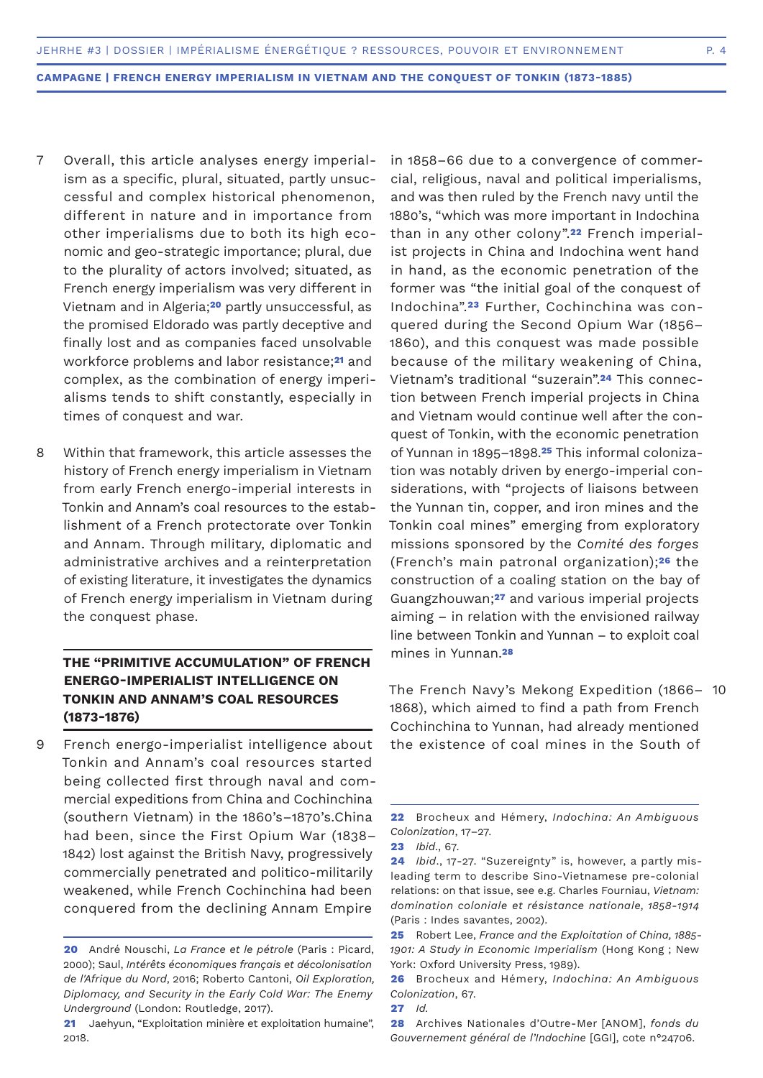- Overall, this article analyses energy imperialism as a specific, plural, situated, partly unsuccessful and complex historical phenomenon, different in nature and in importance from other imperialisms due to both its high economic and geo-strategic importance; plural, due to the plurality of actors involved; situated, as French energy imperialism was very different in Vietnam and in Algeria;**20** partly unsuccessful, as the promised Eldorado was partly deceptive and finally lost and as companies faced unsolvable workforce problems and labor resistance;**21** and complex, as the combination of energy imperialisms tends to shift constantly, especially in times of conquest and war. 7
- Within that framework, this article assesses the history of French energy imperialism in Vietnam from early French energo-imperial interests in Tonkin and Annam's coal resources to the establishment of a French protectorate over Tonkin and Annam. Through military, diplomatic and administrative archives and a reinterpretation of existing literature, it investigates the dynamics of French energy imperialism in Vietnam during the conquest phase. 8

# **THE "PRIMITIVE ACCUMULATION" OF FRENCH ENERGO-IMPERIALIST INTELLIGENCE ON TONKIN AND ANNAM'S COAL RESOURCES (1873-1876)**

French energo-imperialist intelligence about Tonkin and Annam's coal resources started being collected first through naval and commercial expeditions from China and Cochinchina (southern Vietnam) in the 1860's–1870's.China had been, since the First Opium War (1838– 1842) lost against the British Navy, progressively commercially penetrated and politico-militarily weakened, while French Cochinchina had been conquered from the declining Annam Empire 9

in 1858–66 due to a convergence of commercial, religious, naval and political imperialisms, and was then ruled by the French navy until the 1880's, "which was more important in Indochina than in any other colony".**22** French imperialist projects in China and Indochina went hand in hand, as the economic penetration of the former was "the initial goal of the conquest of Indochina".**23** Further, Cochinchina was conquered during the Second Opium War (1856– 1860), and this conquest was made possible because of the military weakening of China, Vietnam's traditional "suzerain".**24** This connection between French imperial projects in China and Vietnam would continue well after the conquest of Tonkin, with the economic penetration of Yunnan in 1895–1898.**25** This informal colonization was notably driven by energo-imperial considerations, with "projects of liaisons between the Yunnan tin, copper, and iron mines and the Tonkin coal mines" emerging from exploratory missions sponsored by the *Comité des forges*  (French's main patronal organization);**26** the construction of a coaling station on the bay of Guangzhouwan;**27** and various imperial projects aiming – in relation with the envisioned railway line between Tonkin and Yunnan – to exploit coal mines in Yunnan.**<sup>28</sup>**

The French Navy's Mekong Expedition (1866– 10 1868), which aimed to find a path from French Cochinchina to Yunnan, had already mentioned the existence of coal mines in the South of

**<sup>20</sup>** André Nouschi, *La France et le pétrole* (Paris : Picard, 2000); Saul, *Intérêts économiques français et décolonisation de l'Afrique du Nord*, 2016; Roberto Cantoni, *Oil Exploration, Diplomacy, and Security in the Early Cold War: The Enemy Underground* (London: Routledge, 2017).

**<sup>21</sup>** Jaehyun, "Exploitation minière et exploitation humaine", 2018.

**<sup>22</sup>** Brocheux and Hémery, *Indochina: An Ambiguous Colonization*, 17–27.

**<sup>23</sup>** *Ibid*., 67.

**<sup>24</sup>** *Ibid*., 17-27. "Suzereignty" is, however, a partly misleading term to describe Sino-Vietnamese pre-colonial relations: on that issue, see e.g. Charles Fourniau, *Vietnam: domination coloniale et résistance nationale, 1858-1914* (Paris : Indes savantes, 2002).

**<sup>25</sup>** Robert Lee, *France and the Exploitation of China, 1885- 1901: A Study in Economic Imperialism* (Hong Kong ; New York: Oxford University Press, 1989).

**<sup>26</sup>** Brocheux and Hémery, *Indochina: An Ambiguous Colonization*, 67.

**<sup>27</sup>** *Id.*

**<sup>28</sup>** Archives Nationales d'Outre-Mer [ANOM], *fonds du Gouvernement général de l'Indochine* [GGI], cote n°24706.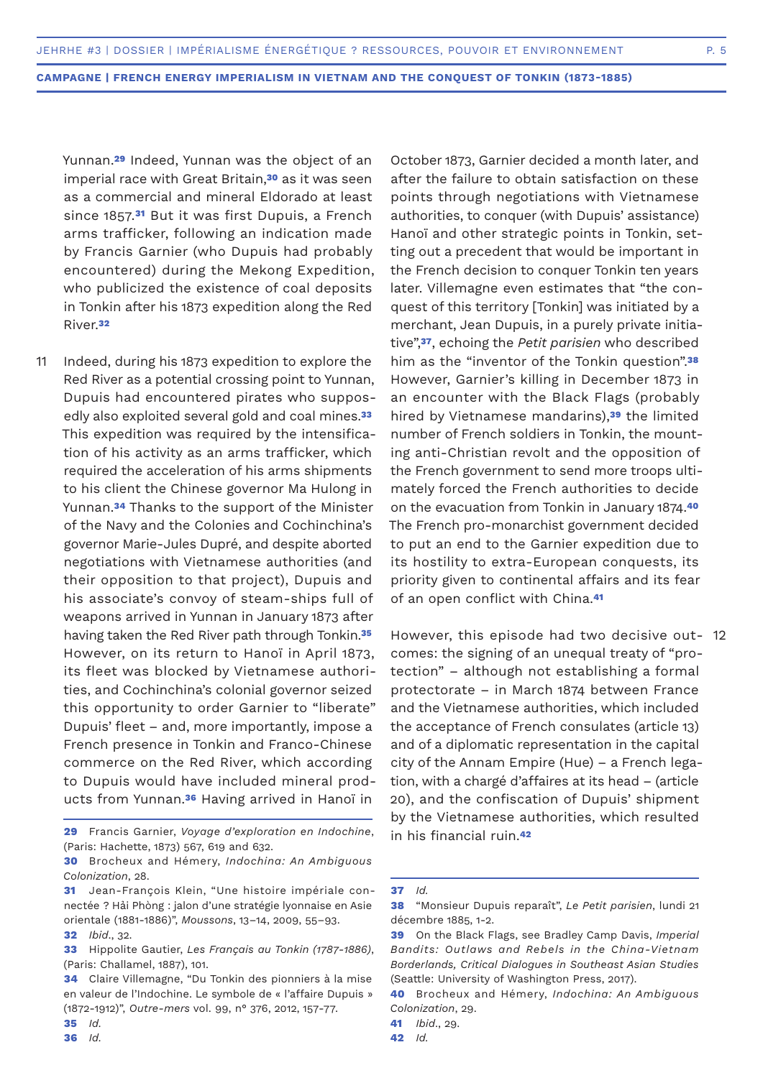Yunnan.**29** Indeed, Yunnan was the object of an imperial race with Great Britain,**30** as it was seen as a commercial and mineral Eldorado at least since 1857.**31** But it was first Dupuis, a French arms trafficker, following an indication made by Francis Garnier (who Dupuis had probably encountered) during the Mekong Expedition, who publicized the existence of coal deposits in Tonkin after his 1873 expedition along the Red River.**<sup>32</sup>**

Indeed, during his 1873 expedition to explore the Red River as a potential crossing point to Yunnan, Dupuis had encountered pirates who supposedly also exploited several gold and coal mines.**<sup>33</sup>** This expedition was required by the intensification of his activity as an arms trafficker, which required the acceleration of his arms shipments to his client the Chinese governor Ma Hulong in Yunnan.**34** Thanks to the support of the Minister of the Navy and the Colonies and Cochinchina's governor Marie-Jules Dupré, and despite aborted negotiations with Vietnamese authorities (and their opposition to that project), Dupuis and his associate's convoy of steam-ships full of weapons arrived in Yunnan in January 1873 after having taken the Red River path through Tonkin.**<sup>35</sup>** However, on its return to Hanoï in April 1873, its fleet was blocked by Vietnamese authorities, and Cochinchina's colonial governor seized this opportunity to order Garnier to "liberate" Dupuis' fleet – and, more importantly, impose a French presence in Tonkin and Franco-Chinese commerce on the Red River, which according to Dupuis would have included mineral products from Yunnan.**36** Having arrived in Hanoï in 11

October 1873, Garnier decided a month later, and after the failure to obtain satisfaction on these points through negotiations with Vietnamese authorities, to conquer (with Dupuis' assistance) Hanoï and other strategic points in Tonkin, setting out a precedent that would be important in the French decision to conquer Tonkin ten years later. Villemagne even estimates that "the conquest of this territory [Tonkin] was initiated by a merchant, Jean Dupuis, in a purely private initiative",**37**, echoing the *Petit parisien* who described him as the "inventor of the Tonkin question".**<sup>38</sup>** However, Garnier's killing in December 1873 in an encounter with the Black Flags (probably hired by Vietnamese mandarins),**39** the limited number of French soldiers in Tonkin, the mounting anti-Christian revolt and the opposition of the French government to send more troops ultimately forced the French authorities to decide on the evacuation from Tonkin in January 1874.**<sup>40</sup>** The French pro-monarchist government decided to put an end to the Garnier expedition due to its hostility to extra-European conquests, its priority given to continental affairs and its fear of an open conflict with China.**<sup>41</sup>**

However, this episode had two decisive out-12comes: the signing of an unequal treaty of "protection" – although not establishing a formal protectorate – in March 1874 between France and the Vietnamese authorities, which included the acceptance of French consulates (article 13) and of a diplomatic representation in the capital city of the Annam Empire (Hue) – a French legation, with a chargé d'affaires at its head – (article 20), and the confiscation of Dupuis' shipment by the Vietnamese authorities, which resulted in his financial ruin.**<sup>42</sup>**

**<sup>29</sup>** Francis Garnier, *Voyage d'exploration en Indochine*, (Paris: Hachette, 1873) 567, 619 and 632.

**<sup>30</sup>** Brocheux and Hémery, *Indochina: An Ambiguous Colonization*, 28.

**<sup>31</sup>** Jean-François Klein, "Une histoire impériale connectée ? Hải Phòng : jalon d'une stratégie lyonnaise en Asie orientale (1881-1886)", *Moussons*, 13–14, 2009, 55–93.

**<sup>32</sup>** *Ibid*., 32.

**<sup>33</sup>** Hippolite Gautier, *Les Français au Tonkin (1787-1886)*, (Paris: Challamel, 1887), 101.

**<sup>34</sup>** Claire Villemagne, "Du Tonkin des pionniers à la mise en valeur de l'Indochine. Le symbole de « l'affaire Dupuis » (1872-1912)", *Outre-mers* vol. 99, n° 376, 2012, 157-77.

**<sup>35</sup>** *Id.*

**<sup>36</sup>** *Id.*

**<sup>37</sup>** *Id.*

**<sup>38</sup>** "Monsieur Dupuis reparaît", *Le Petit parisien*, lundi 21 décembre 1885, 1-2.

**<sup>39</sup>** On the Black Flags, see Bradley Camp Davis, *Imperial Bandits: Outlaws and Rebels in the China-Vietnam Borderlands, Critical Dialogues in Southeast Asian Studies*  (Seattle: University of Washington Press, 2017).

**<sup>40</sup>** Brocheux and Hémery, *Indochina: An Ambiguous Colonization*, 29.

**<sup>41</sup>** *Ibid*., 29.

**<sup>42</sup>** *Id.*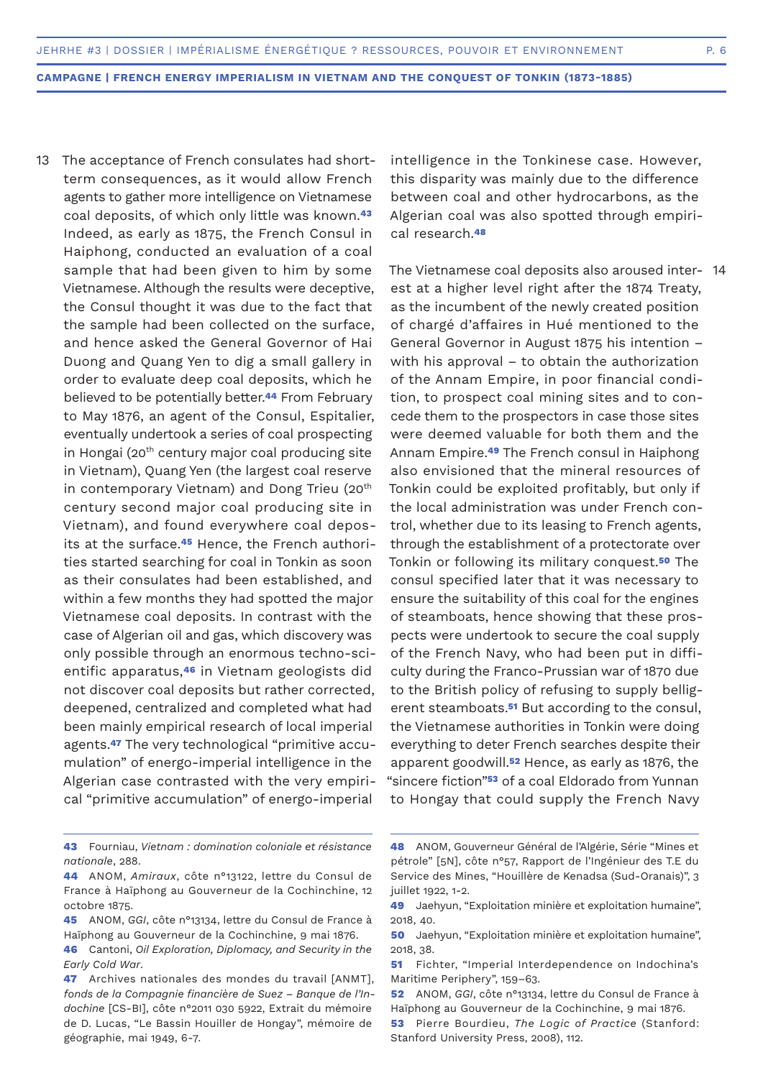- 13 The acceptance of French consulates had shortterm consequences, as it would allow French agents to gather more intelligence on Vietnamese coal deposits, of which only little was known.**<sup>43</sup>** Indeed, as early as 1875, the French Consul in Haiphong, conducted an evaluation of a coal sample that had been given to him by some Vietnamese. Although the results were deceptive, the Consul thought it was due to the fact that the sample had been collected on the surface, and hence asked the General Governor of Hai Duong and Quang Yen to dig a small gallery in order to evaluate deep coal deposits, which he believed to be potentially better.**44** From February to May 1876, an agent of the Consul, Espitalier, eventually undertook a series of coal prospecting in Hongai (20<sup>th</sup> century major coal producing site in Vietnam), Quang Yen (the largest coal reserve in contemporary Vietnam) and Dong Trieu (20<sup>th</sup> century second major coal producing site in Vietnam), and found everywhere coal deposits at the surface.**45** Hence, the French authorities started searching for coal in Tonkin as soon as their consulates had been established, and within a few months they had spotted the major Vietnamese coal deposits. In contrast with the case of Algerian oil and gas, which discovery was only possible through an enormous techno-scientific apparatus,**46** in Vietnam geologists did not discover coal deposits but rather corrected, deepened, centralized and completed what had been mainly empirical research of local imperial agents.**47** The very technological "primitive accumulation" of energo-imperial intelligence in the Algerian case contrasted with the very empirical "primitive accumulation" of energo-imperial
- intelligence in the Tonkinese case. However, this disparity was mainly due to the difference between coal and other hydrocarbons, as the Algerian coal was also spotted through empirical research.**<sup>48</sup>**

The Vietnamese coal deposits also aroused inter-14est at a higher level right after the 1874 Treaty, as the incumbent of the newly created position of chargé d'affaires in Hué mentioned to the General Governor in August 1875 his intention – with his approval – to obtain the authorization of the Annam Empire, in poor financial condition, to prospect coal mining sites and to concede them to the prospectors in case those sites were deemed valuable for both them and the Annam Empire.**49** The French consul in Haiphong also envisioned that the mineral resources of Tonkin could be exploited profitably, but only if the local administration was under French control, whether due to its leasing to French agents, through the establishment of a protectorate over Tonkin or following its military conquest.**50** The consul specified later that it was necessary to ensure the suitability of this coal for the engines of steamboats, hence showing that these prospects were undertook to secure the coal supply of the French Navy, who had been put in difficulty during the Franco-Prussian war of 1870 due to the British policy of refusing to supply belligerent steamboats.**51** But according to the consul, the Vietnamese authorities in Tonkin were doing everything to deter French searches despite their apparent goodwill.**52** Hence, as early as 1876, the "sincere fiction"**53** of a coal Eldorado from Yunnan to Hongay that could supply the French Navy

- **43** Fourniau, *Vietnam : domination coloniale et résistance nationale*, 288.
- **44** ANOM, *Amiraux*, côte n°13122, lettre du Consul de France à Haïphong au Gouverneur de la Cochinchine, 12 octobre 1875.
- **45** ANOM, *GGI*, côte n°13134, lettre du Consul de France à Haïphong au Gouverneur de la Cochinchine, 9 mai 1876.
- **46** Cantoni, *Oil Exploration, Diplomacy, and Security in the Early Cold War*.
- **47** Archives nationales des mondes du travail [ANMT], *fonds de la Compagnie financière de Suez – Banque de l'Indochine* [CS-BI], côte n°2011 030 5922, Extrait du mémoire de D. Lucas, "Le Bassin Houiller de Hongay", mémoire de géographie, mai 1949, 6-7.
- **48** ANOM, Gouverneur Général de l'Algérie, Série "Mines et pétrole" [5N], côte n°57, Rapport de l'Ingénieur des T.E du Service des Mines, "Houillère de Kenadsa (Sud-Oranais)", 3 juillet 1922, 1-2.
- **49** Jaehyun, "Exploitation minière et exploitation humaine", 2018, 40.
- **50** Jaehyun, "Exploitation minière et exploitation humaine", 2018, 38.
- **51** Fichter, "Imperial Interdependence on Indochina's Maritime Periphery", 159–63.
- **52** ANOM, *GGI*, côte n°13134, lettre du Consul de France à Haïphong au Gouverneur de la Cochinchine, 9 mai 1876.
- **53** Pierre Bourdieu, *The Logic of Practice* (Stanford: Stanford University Press, 2008), 112.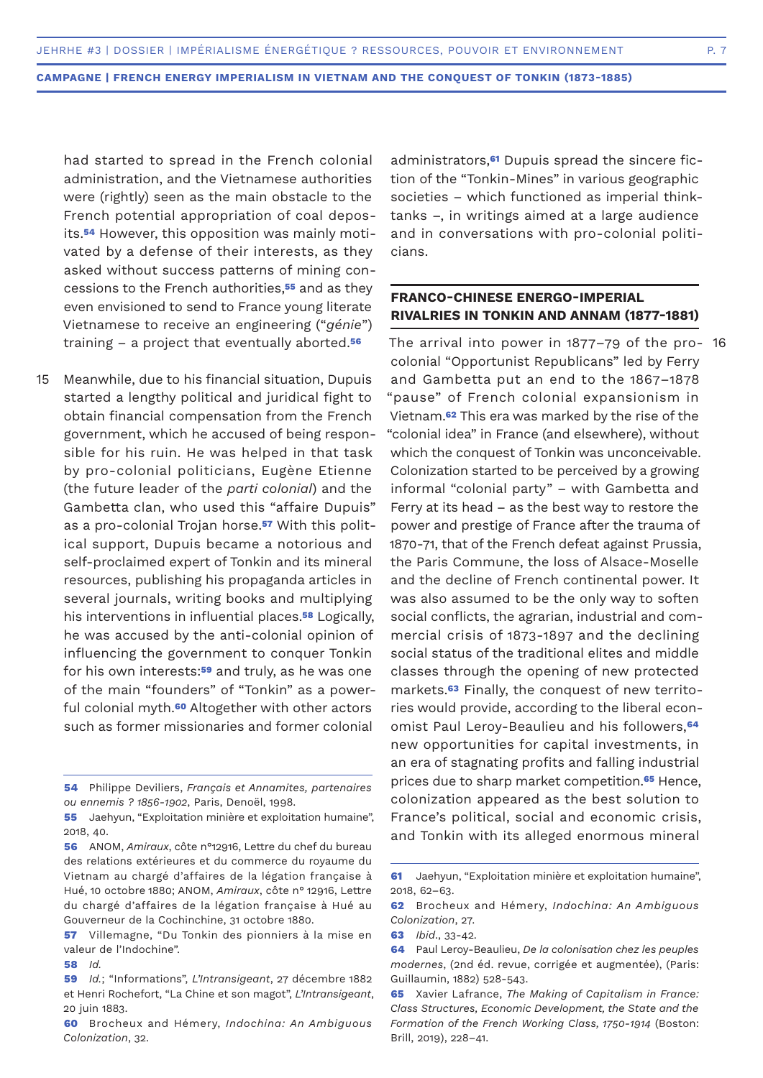had started to spread in the French colonial administration, and the Vietnamese authorities were (rightly) seen as the main obstacle to the French potential appropriation of coal deposits.**54** However, this opposition was mainly motivated by a defense of their interests, as they asked without success patterns of mining concessions to the French authorities,**55** and as they even envisioned to send to France young literate Vietnamese to receive an engineering ("*génie*") training – a project that eventually aborted.**<sup>56</sup>**

Meanwhile, due to his financial situation, Dupuis started a lengthy political and juridical fight to obtain financial compensation from the French government, which he accused of being responsible for his ruin. He was helped in that task by pro-colonial politicians, Eugène Etienne (the future leader of the *parti colonial*) and the Gambetta clan, who used this "affaire Dupuis" as a pro-colonial Trojan horse.**57** With this political support, Dupuis became a notorious and self-proclaimed expert of Tonkin and its mineral resources, publishing his propaganda articles in several journals, writing books and multiplying his interventions in influential places.**58** Logically, he was accused by the anti-colonial opinion of influencing the government to conquer Tonkin for his own interests:**59** and truly, as he was one of the main "founders" of "Tonkin" as a powerful colonial myth.**60** Altogether with other actors such as former missionaries and former colonial 15

**54** Philippe Deviliers, *Français et Annamites, partenaires ou ennemis ? 1856-1902*, Paris, Denoël, 1998.

**58** *Id.*

administrators,**61** Dupuis spread the sincere fiction of the "Tonkin-Mines" in various geographic societies – which functioned as imperial thinktanks –, in writings aimed at a large audience and in conversations with pro-colonial politicians.

# **FRANCO-CHINESE ENERGO-IMPERIAL RIVALRIES IN TONKIN AND ANNAM (1877-1881)**

The arrival into power in 1877–79 of the pro-16colonial "Opportunist Republicans" led by Ferry and Gambetta put an end to the 1867–1878 "pause" of French colonial expansionism in Vietnam.**62** This era was marked by the rise of the "colonial idea" in France (and elsewhere), without which the conquest of Tonkin was unconceivable. Colonization started to be perceived by a growing informal "colonial party" – with Gambetta and Ferry at its head – as the best way to restore the power and prestige of France after the trauma of 1870-71, that of the French defeat against Prussia, the Paris Commune, the loss of Alsace-Moselle and the decline of French continental power. It was also assumed to be the only way to soften social conflicts, the agrarian, industrial and commercial crisis of 1873-1897 and the declining social status of the traditional elites and middle classes through the opening of new protected markets.**63** Finally, the conquest of new territories would provide, according to the liberal economist Paul Leroy-Beaulieu and his followers,**<sup>64</sup>** new opportunities for capital investments, in an era of stagnating profits and falling industrial prices due to sharp market competition.**65** Hence, colonization appeared as the best solution to France's political, social and economic crisis, and Tonkin with its alleged enormous mineral

**<sup>55</sup>** Jaehyun, "Exploitation minière et exploitation humaine", 2018, 40.

**<sup>56</sup>** ANOM, *Amiraux*, côte n°12916, Lettre du chef du bureau des relations extérieures et du commerce du royaume du Vietnam au chargé d'affaires de la légation française à Hué, 10 octobre 1880; ANOM, *Amiraux*, côte n° 12916, Lettre du chargé d'affaires de la légation française à Hué au Gouverneur de la Cochinchine, 31 octobre 1880.

**<sup>57</sup>** Villemagne, "Du Tonkin des pionniers à la mise en valeur de l'Indochine".

**<sup>59</sup>** *Id.*; "Informations", *L'Intransigeant*, 27 décembre 1882 et Henri Rochefort, "La Chine et son magot", *L'Intransigeant*, 20 juin 1883.

**<sup>60</sup>** Brocheux and Hémery, *Indochina: An Ambiguous Colonization*, 32.

**<sup>61</sup>** Jaehyun, "Exploitation minière et exploitation humaine", 2018, 62–63.

**<sup>62</sup>** Brocheux and Hémery, *Indochina: An Ambiguous Colonization*, 27.

**<sup>63</sup>** *Ibid*., 33-42.

**<sup>64</sup>** Paul Leroy-Beaulieu, *De la colonisation chez les peuples modernes*, (2nd éd. revue, corrigée et augmentée), (Paris: Guillaumin, 1882) 528-543.

**<sup>65</sup>** Xavier Lafrance, *The Making of Capitalism in France: Class Structures, Economic Development, the State and the Formation of the French Working Class, 1750-1914* (Boston: Brill, 2019), 228–41.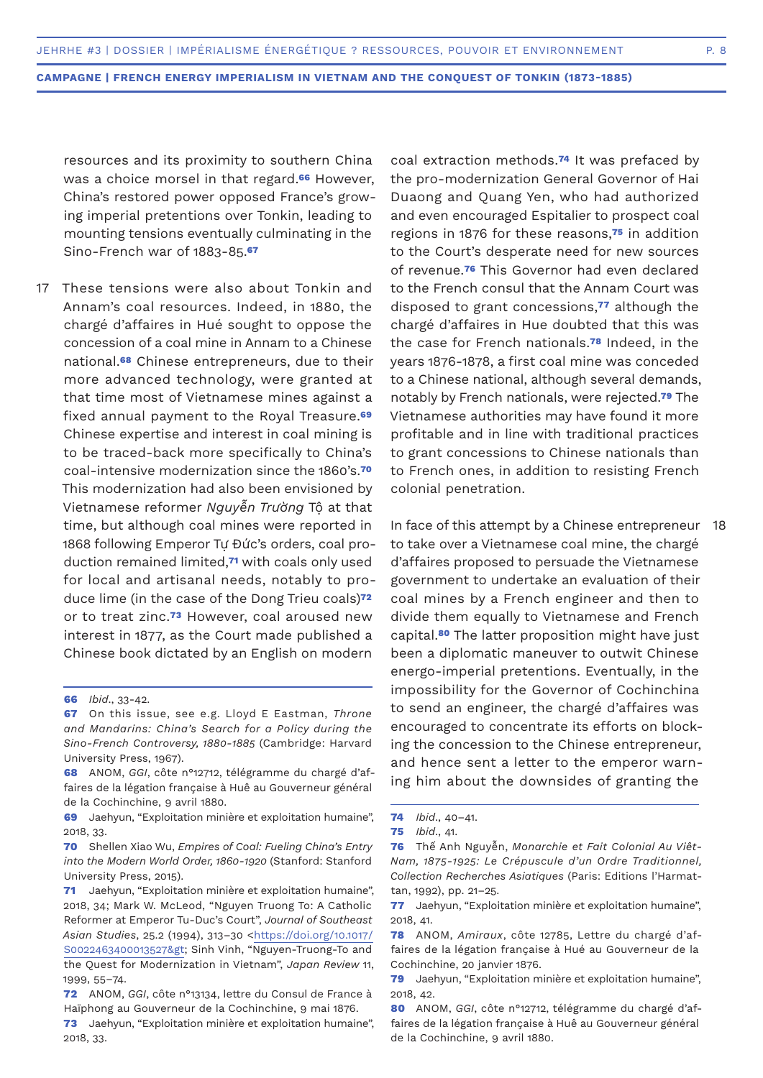resources and its proximity to southern China was a choice morsel in that regard.**66** However, China's restored power opposed France's growing imperial pretentions over Tonkin, leading to mounting tensions eventually culminating in the Sino-French war of 1883-85.**<sup>67</sup>**

These tensions were also about Tonkin and Annam's coal resources. Indeed, in 1880, the chargé d'affaires in Hué sought to oppose the concession of a coal mine in Annam to a Chinese national.**68** Chinese entrepreneurs, due to their more advanced technology, were granted at that time most of Vietnamese mines against a fixed annual payment to the Royal Treasure.**<sup>69</sup>** Chinese expertise and interest in coal mining is to be traced-back more specifically to China's coal-intensive modernization since the 1860's.**<sup>70</sup>** This modernization had also been envisioned by Vietnamese reformer *Nguyễn Trường* Tộ at that time, but although coal mines were reported in 1868 following Emperor Tự Đức's orders, coal production remained limited,**71** with coals only used for local and artisanal needs, notably to produce lime (in the case of the Dong Trieu coals)**<sup>72</sup>** or to treat zinc.**73** However, coal aroused new interest in 1877, as the Court made published a Chinese book dictated by an English on modern 17

coal extraction methods.**74** It was prefaced by the pro-modernization General Governor of Hai Duaong and Quang Yen, who had authorized and even encouraged Espitalier to prospect coal regions in 1876 for these reasons,**75** in addition to the Court's desperate need for new sources of revenue.**76** This Governor had even declared to the French consul that the Annam Court was disposed to grant concessions,**77** although the chargé d'affaires in Hue doubted that this was the case for French nationals.**78** Indeed, in the years 1876-1878, a first coal mine was conceded to a Chinese national, although several demands, notably by French nationals, were rejected.**79** The Vietnamese authorities may have found it more profitable and in line with traditional practices to grant concessions to Chinese nationals than to French ones, in addition to resisting French colonial penetration.

In face of this attempt by a Chinese entrepreneur 18to take over a Vietnamese coal mine, the chargé d'affaires proposed to persuade the Vietnamese government to undertake an evaluation of their coal mines by a French engineer and then to divide them equally to Vietnamese and French capital.**80** The latter proposition might have just been a diplomatic maneuver to outwit Chinese energo-imperial pretentions. Eventually, in the impossibility for the Governor of Cochinchina to send an engineer, the chargé d'affaires was encouraged to concentrate its efforts on blocking the concession to the Chinese entrepreneur, and hence sent a letter to the emperor warning him about the downsides of granting the

**<sup>66</sup>** *Ibid*., 33-42.

**<sup>67</sup>** On this issue, see e.g. Lloyd E Eastman, *Throne and Mandarins: China's Search for a Policy during the Sino-French Controversy, 1880-1885* (Cambridge: Harvard University Press, 1967).

**<sup>68</sup>** ANOM, *GGI*, côte n°12712, télégramme du chargé d'affaires de la légation française à Huê au Gouverneur général de la Cochinchine, 9 avril 1880.

**<sup>69</sup>** Jaehyun, "Exploitation minière et exploitation humaine", 2018, 33.

**<sup>70</sup>** Shellen Xiao Wu, *Empires of Coal: Fueling China's Entry into the Modern World Order, 1860-1920* (Stanford: Stanford University Press, 2015).

**<sup>71</sup>** Jaehyun, "Exploitation minière et exploitation humaine", 2018, 34; Mark W. McLeod, "Nguyen Truong To: A Catholic Reformer at Emperor Tu-Duc's Court", *Journal of Southeast Asian Studies*, 25.2 (1994), 313–30 <https://doi.org/10.1017/ S0022463400013527> Sinh Vinh, "Nguyen-Truong-To and the Quest for Modernization in Vietnam", *Japan Review* 11, 1999, 55–74.

**<sup>72</sup>** ANOM, *GGI*, côte n°13134, lettre du Consul de France à Haïphong au Gouverneur de la Cochinchine, 9 mai 1876.

**<sup>73</sup>** Jaehyun, "Exploitation minière et exploitation humaine", 2018, 33.

**<sup>74</sup>** *Ibid*., 40–41.

**<sup>75</sup>** *Ibid*., 41.

**<sup>76</sup>** Thế Anh Nguyễn, *Monarchie et Fait Colonial Au Viêt-Nam, 1875-1925: Le Crépuscule d'un Ordre Traditionnel, Collection Recherches Asiatiques* (Paris: Editions l'Harmattan, 1992), pp. 21–25.

**<sup>77</sup>** Jaehyun, "Exploitation minière et exploitation humaine", 2018, 41.

**<sup>78</sup>** ANOM, *Amiraux*, côte 12785, Lettre du chargé d'affaires de la légation française à Hué au Gouverneur de la Cochinchine, 20 janvier 1876.

**<sup>79</sup>** Jaehyun, "Exploitation minière et exploitation humaine", 2018, 42.

**<sup>80</sup>** ANOM, *GGI*, côte n°12712, télégramme du chargé d'affaires de la légation française à Huê au Gouverneur général de la Cochinchine, 9 avril 1880.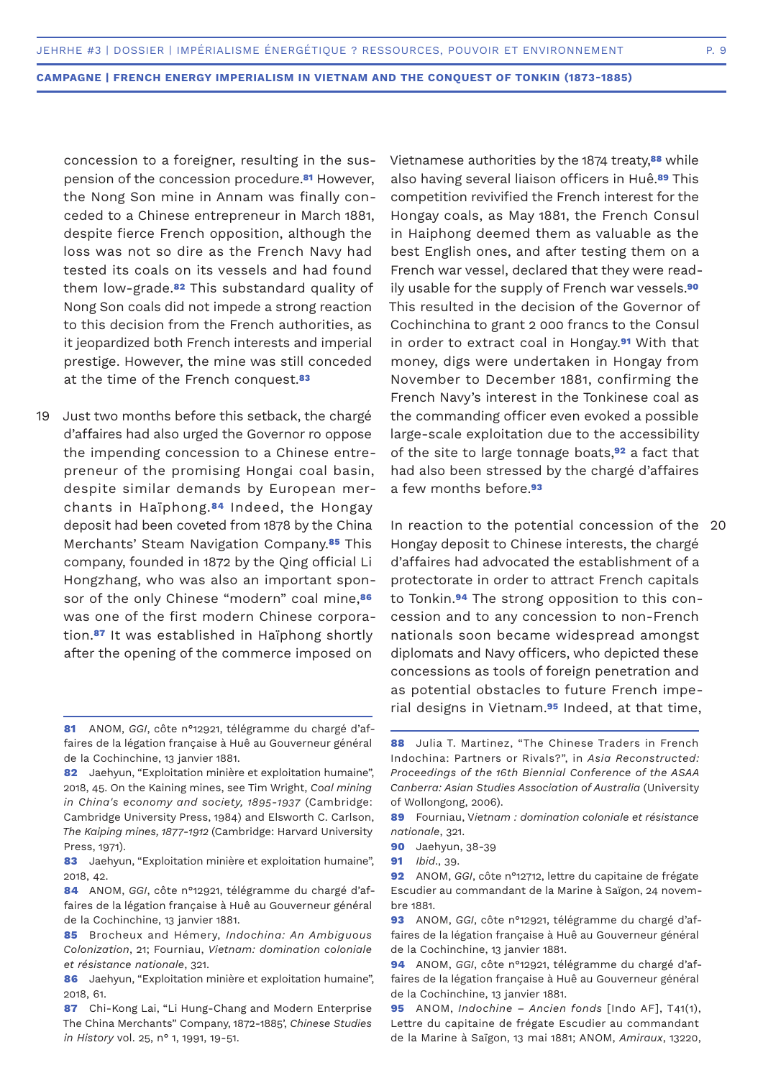concession to a foreigner, resulting in the suspension of the concession procedure.**81** However, the Nong Son mine in Annam was finally conceded to a Chinese entrepreneur in March 1881, despite fierce French opposition, although the loss was not so dire as the French Navy had tested its coals on its vessels and had found them low-grade.**82** This substandard quality of Nong Son coals did not impede a strong reaction to this decision from the French authorities, as it jeopardized both French interests and imperial prestige. However, the mine was still conceded at the time of the French conquest.**<sup>83</sup>**

Just two months before this setback, the chargé d'affaires had also urged the Governor ro oppose the impending concession to a Chinese entrepreneur of the promising Hongai coal basin, despite similar demands by European merchants in Haïphong.**84** Indeed, the Hongay deposit had been coveted from 1878 by the China Merchants' Steam Navigation Company.**85** This company, founded in 1872 by the Qing official Li Hongzhang, who was also an important sponsor of the only Chinese "modern" coal mine,**<sup>86</sup>** was one of the first modern Chinese corporation.**87** It was established in Haïphong shortly after the opening of the commerce imposed on 19

**85** Brocheux and Hémery, *Indochina: An Ambiguous Colonization*, 21; Fourniau, *Vietnam: domination coloniale et résistance nationale*, 321.

Vietnamese authorities by the 1874 treaty,**88** while also having several liaison officers in Huê.**89** This competition revivified the French interest for the Hongay coals, as May 1881, the French Consul in Haiphong deemed them as valuable as the best English ones, and after testing them on a French war vessel, declared that they were readily usable for the supply of French war vessels.**<sup>90</sup>** This resulted in the decision of the Governor of Cochinchina to grant 2 000 francs to the Consul in order to extract coal in Hongay.**91** With that money, digs were undertaken in Hongay from November to December 1881, confirming the French Navy's interest in the Tonkinese coal as the commanding officer even evoked a possible large-scale exploitation due to the accessibility of the site to large tonnage boats,**92** a fact that had also been stressed by the chargé d'affaires a few months before.**<sup>93</sup>**

In reaction to the potential concession of the 20Hongay deposit to Chinese interests, the chargé d'affaires had advocated the establishment of a protectorate in order to attract French capitals to Tonkin.**94** The strong opposition to this concession and to any concession to non-French nationals soon became widespread amongst diplomats and Navy officers, who depicted these concessions as tools of foreign penetration and as potential obstacles to future French imperial designs in Vietnam.**95** Indeed, at that time,

**95** ANOM, *Indochine – Ancien fonds* [Indo AF], T41(1), Lettre du capitaine de frégate Escudier au commandant de la Marine à Saïgon, 13 mai 1881; ANOM, *Amiraux*, 13220,

**<sup>81</sup>** ANOM, *GGI*, côte n°12921, télégramme du chargé d'affaires de la légation française à Huê au Gouverneur général de la Cochinchine, 13 janvier 1881.

**<sup>82</sup>** Jaehyun, "Exploitation minière et exploitation humaine", 2018, 45. On the Kaining mines, see Tim Wright, *Coal mining in China's economy and society, 1895-1937* (Cambridge: Cambridge University Press, 1984) and Elsworth C. Carlson, *The Kaiping mines, 1877-1912* (Cambridge: Harvard University Press, 1971).

**<sup>83</sup>** Jaehyun, "Exploitation minière et exploitation humaine", 2018, 42.

**<sup>84</sup>** ANOM, *GGI*, côte n°12921, télégramme du chargé d'affaires de la légation française à Huê au Gouverneur général de la Cochinchine, 13 janvier 1881.

**<sup>86</sup>** Jaehyun, "Exploitation minière et exploitation humaine", 2018, 61.

**<sup>87</sup>** Chi-Kong Lai, "Li Hung-Chang and Modern Enterprise The China Merchants" Company, 1872-1885', *Chinese Studies in History* vol. 25, n° 1, 1991, 19-51.

**<sup>88</sup>** Julia T. Martinez, "The Chinese Traders in French Indochina: Partners or Rivals?", in *Asia Reconstructed: Proceedings of the 16th Biennial Conference of the ASAA Canberra: Asian Studies Association of Australia* (University of Wollongong, 2006).

**<sup>89</sup>** Fourniau, V*ietnam : domination coloniale et résistance nationale*, 321.

**<sup>90</sup>** Jaehyun, 38-39

**<sup>91</sup>** *Ibid*., 39.

**<sup>92</sup>** ANOM, *GGI*, côte n°12712, lettre du capitaine de frégate Escudier au commandant de la Marine à Saïgon, 24 novembre 1881.

**<sup>93</sup>** ANOM, *GGI*, côte n°12921, télégramme du chargé d'affaires de la légation française à Huê au Gouverneur général de la Cochinchine, 13 janvier 1881.

**<sup>94</sup>** ANOM, *GGI*, côte n°12921, télégramme du chargé d'affaires de la légation française à Huê au Gouverneur général de la Cochinchine, 13 janvier 1881.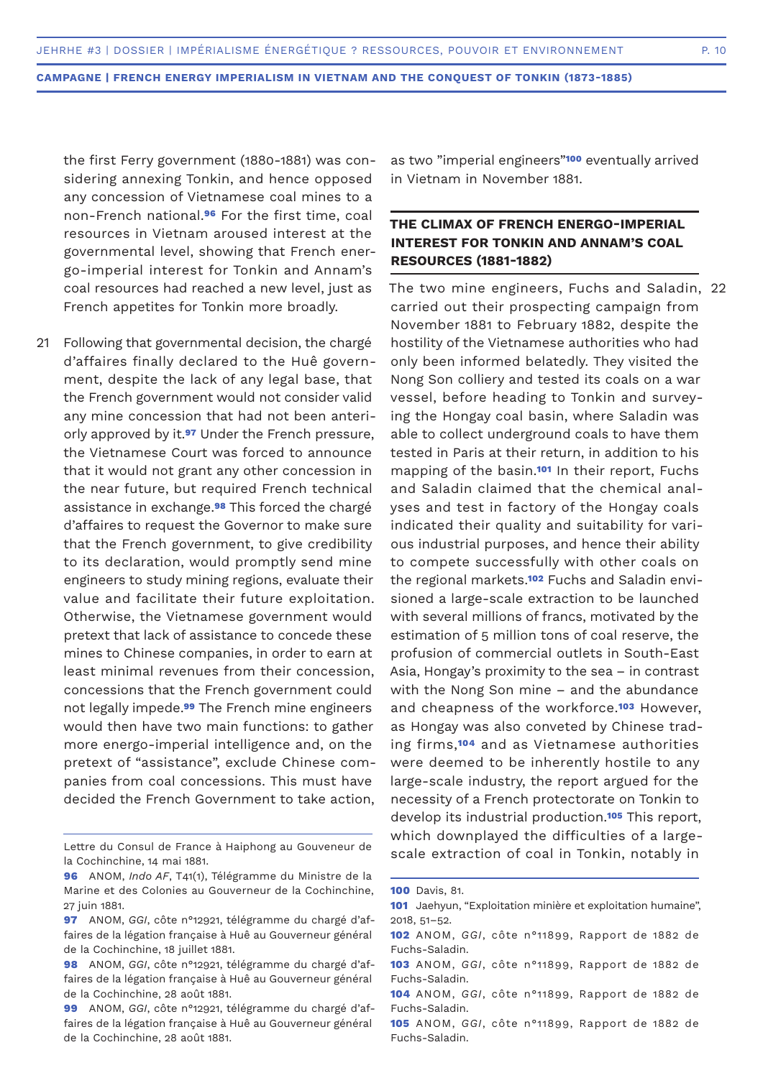the first Ferry government (1880-1881) was considering annexing Tonkin, and hence opposed any concession of Vietnamese coal mines to a non-French national.**96** For the first time, coal resources in Vietnam aroused interest at the governmental level, showing that French energo-imperial interest for Tonkin and Annam's coal resources had reached a new level, just as French appetites for Tonkin more broadly.

Following that governmental decision, the chargé d'affaires finally declared to the Huê government, despite the lack of any legal base, that the French government would not consider valid any mine concession that had not been anteriorly approved by it.**97** Under the French pressure, the Vietnamese Court was forced to announce that it would not grant any other concession in the near future, but required French technical assistance in exchange.**98** This forced the chargé d'affaires to request the Governor to make sure that the French government, to give credibility to its declaration, would promptly send mine engineers to study mining regions, evaluate their value and facilitate their future exploitation. Otherwise, the Vietnamese government would pretext that lack of assistance to concede these mines to Chinese companies, in order to earn at least minimal revenues from their concession, concessions that the French government could not legally impede.**99** The French mine engineers would then have two main functions: to gather more energo-imperial intelligence and, on the pretext of "assistance", exclude Chinese companies from coal concessions. This must have decided the French Government to take action, 21

as two "imperial engineers"**100** eventually arrived in Vietnam in November 1881.

# **THE CLIMAX OF FRENCH ENERGO-IMPERIAL INTEREST FOR TONKIN AND ANNAM'S COAL RESOURCES (1881-1882)**

The two mine engineers, Fuchs and Saladin, 22carried out their prospecting campaign from November 1881 to February 1882, despite the hostility of the Vietnamese authorities who had only been informed belatedly. They visited the Nong Son colliery and tested its coals on a war vessel, before heading to Tonkin and surveying the Hongay coal basin, where Saladin was able to collect underground coals to have them tested in Paris at their return, in addition to his mapping of the basin.**101** In their report, Fuchs and Saladin claimed that the chemical analyses and test in factory of the Hongay coals indicated their quality and suitability for various industrial purposes, and hence their ability to compete successfully with other coals on the regional markets.**102** Fuchs and Saladin envisioned a large-scale extraction to be launched with several millions of francs, motivated by the estimation of 5 million tons of coal reserve, the profusion of commercial outlets in South-East Asia, Hongay's proximity to the sea – in contrast with the Nong Son mine – and the abundance and cheapness of the workforce.**103** However, as Hongay was also conveted by Chinese trading firms,**104** and as Vietnamese authorities were deemed to be inherently hostile to any large-scale industry, the report argued for the necessity of a French protectorate on Tonkin to develop its industrial production.**105** This report, which downplayed the difficulties of a largescale extraction of coal in Tonkin, notably in

Lettre du Consul de France à Haiphong au Gouveneur de la Cochinchine, 14 mai 1881.

**<sup>96</sup>** ANOM, *Indo AF*, T41(1), Télégramme du Ministre de la Marine et des Colonies au Gouverneur de la Cochinchine, 27 juin 1881.

**<sup>97</sup>** ANOM, *GGI*, côte n°12921, télégramme du chargé d'affaires de la légation française à Huê au Gouverneur général de la Cochinchine, 18 juillet 1881.

**<sup>98</sup>** ANOM, *GGI*, côte n°12921, télégramme du chargé d'affaires de la légation française à Huê au Gouverneur général de la Cochinchine, 28 août 1881.

**<sup>99</sup>** ANOM, *GGI*, côte n°12921, télégramme du chargé d'affaires de la légation française à Huê au Gouverneur général de la Cochinchine, 28 août 1881.

**<sup>100</sup>** Davis, 81.

**<sup>101</sup>** Jaehyun, "Exploitation minière et exploitation humaine", 2018, 51–52.

**<sup>102</sup>** ANOM, *GGI*, côte n°11899, Rapport de 1882 de Fuchs-Saladin.

**<sup>103</sup>** ANOM, *GGI*, côte n°11899, Rapport de 1882 de Fuchs-Saladin.

**<sup>104</sup>** ANOM, *GGI*, côte n°11899, Rapport de 1882 de Fuchs-Saladin.

**<sup>105</sup>** ANOM, *GGI*, côte n°11899, Rapport de 1882 de Fuchs-Saladin.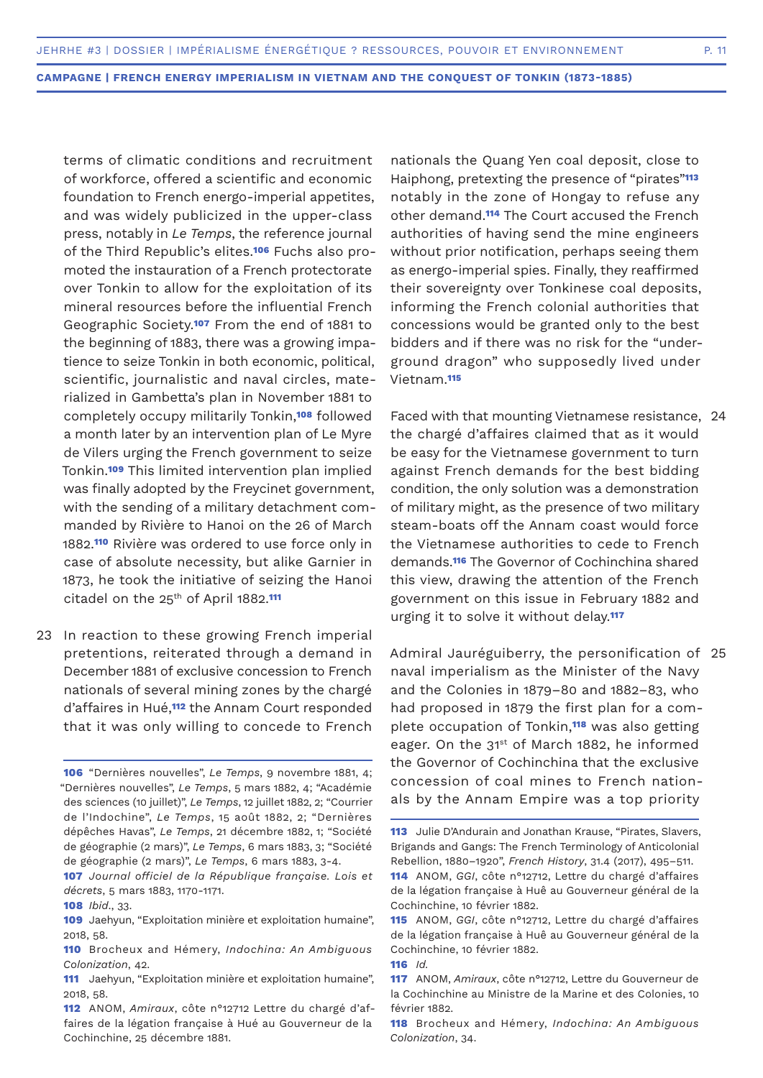terms of climatic conditions and recruitment of workforce, offered a scientific and economic foundation to French energo-imperial appetites, and was widely publicized in the upper-class press, notably in *Le Temps*, the reference journal of the Third Republic's elites.**106** Fuchs also promoted the instauration of a French protectorate over Tonkin to allow for the exploitation of its mineral resources before the influential French Geographic Society.**107** From the end of 1881 to the beginning of 1883, there was a growing impatience to seize Tonkin in both economic, political, scientific, journalistic and naval circles, materialized in Gambetta's plan in November 1881 to completely occupy militarily Tonkin,**108** followed a month later by an intervention plan of Le Myre de Vilers urging the French government to seize Tonkin.**109** This limited intervention plan implied was finally adopted by the Freycinet government, with the sending of a military detachment commanded by Rivière to Hanoi on the 26 of March 1882.**110** Rivière was ordered to use force only in case of absolute necessity, but alike Garnier in 1873, he took the initiative of seizing the Hanoi citadel on the 25<sup>th</sup> of April 1882.<sup>111</sup>

23 In reaction to these growing French imperial pretentions, reiterated through a demand in December 1881 of exclusive concession to French nationals of several mining zones by the chargé d'affaires in Hué,**112** the Annam Court responded that it was only willing to concede to French

**106** "Dernières nouvelles", *Le Temps*, 9 novembre 1881, 4; "Dernières nouvelles", *Le Temps*, 5 mars 1882, 4; "Académie des sciences (10 juillet)", *Le Temps*, 12 juillet 1882, 2; "Courrier de l'Indochine", *Le Temps*, 15 août 1882, 2; "Dernières dépêches Havas", *Le Temps*, 21 décembre 1882, 1; "Société de géographie (2 mars)", *Le Temps*, 6 mars 1883, 3; "Société de géographie (2 mars)", *Le Temps*, 6 mars 1883, 3-4.

**107** *Journal officiel de la République française. Lois et décrets*, 5 mars 1883, 1170-1171.

nationals the Quang Yen coal deposit, close to Haiphong, pretexting the presence of "pirates"**<sup>113</sup>** notably in the zone of Hongay to refuse any other demand.**114** The Court accused the French authorities of having send the mine engineers without prior notification, perhaps seeing them as energo-imperial spies. Finally, they reaffirmed their sovereignty over Tonkinese coal deposits, informing the French colonial authorities that concessions would be granted only to the best bidders and if there was no risk for the "underground dragon" who supposedly lived under Vietnam.**<sup>115</sup>**

Faced with that mounting Vietnamese resistance, 24 the chargé d'affaires claimed that as it would be easy for the Vietnamese government to turn against French demands for the best bidding condition, the only solution was a demonstration of military might, as the presence of two military steam-boats off the Annam coast would force the Vietnamese authorities to cede to French demands.**116** The Governor of Cochinchina shared this view, drawing the attention of the French government on this issue in February 1882 and urging it to solve it without delay.**<sup>117</sup>**

Admiral Jauréguiberry, the personification of 25naval imperialism as the Minister of the Navy and the Colonies in 1879–80 and 1882–83, who had proposed in 1879 the first plan for a complete occupation of Tonkin,**118** was also getting eager. On the 31<sup>st</sup> of March 1882, he informed the Governor of Cochinchina that the exclusive concession of coal mines to French nationals by the Annam Empire was a top priority

**<sup>108</sup>** *Ibid*., 33.

**<sup>109</sup>** Jaehyun, "Exploitation minière et exploitation humaine", 2018, 58.

**<sup>110</sup>** Brocheux and Hémery, *Indochina: An Ambiguous Colonization*, 42.

**<sup>111</sup>** Jaehyun, "Exploitation minière et exploitation humaine", 2018, 58.

**<sup>112</sup>** ANOM, *Amiraux*, côte n°12712 Lettre du chargé d'affaires de la légation française à Hué au Gouverneur de la Cochinchine, 25 décembre 1881.

**<sup>113</sup>** Julie D'Andurain and Jonathan Krause, "Pirates, Slavers, Brigands and Gangs: The French Terminology of Anticolonial Rebellion, 1880–1920", *French History*, 31.4 (2017), 495–511. **114** ANOM, *GGI*, côte n°12712, Lettre du chargé d'affaires

de la légation française à Huê au Gouverneur général de la Cochinchine, 10 février 1882.

**<sup>115</sup>** ANOM, *GGI*, côte n°12712, Lettre du chargé d'affaires de la légation française à Huê au Gouverneur général de la Cochinchine, 10 février 1882.

**<sup>116</sup>** *Id.*

**<sup>117</sup>** ANOM, *Amiraux*, côte n°12712, Lettre du Gouverneur de la Cochinchine au Ministre de la Marine et des Colonies, 10 février 1882.

**<sup>118</sup>** Brocheux and Hémery, *Indochina: An Ambiguous Colonization*, 34.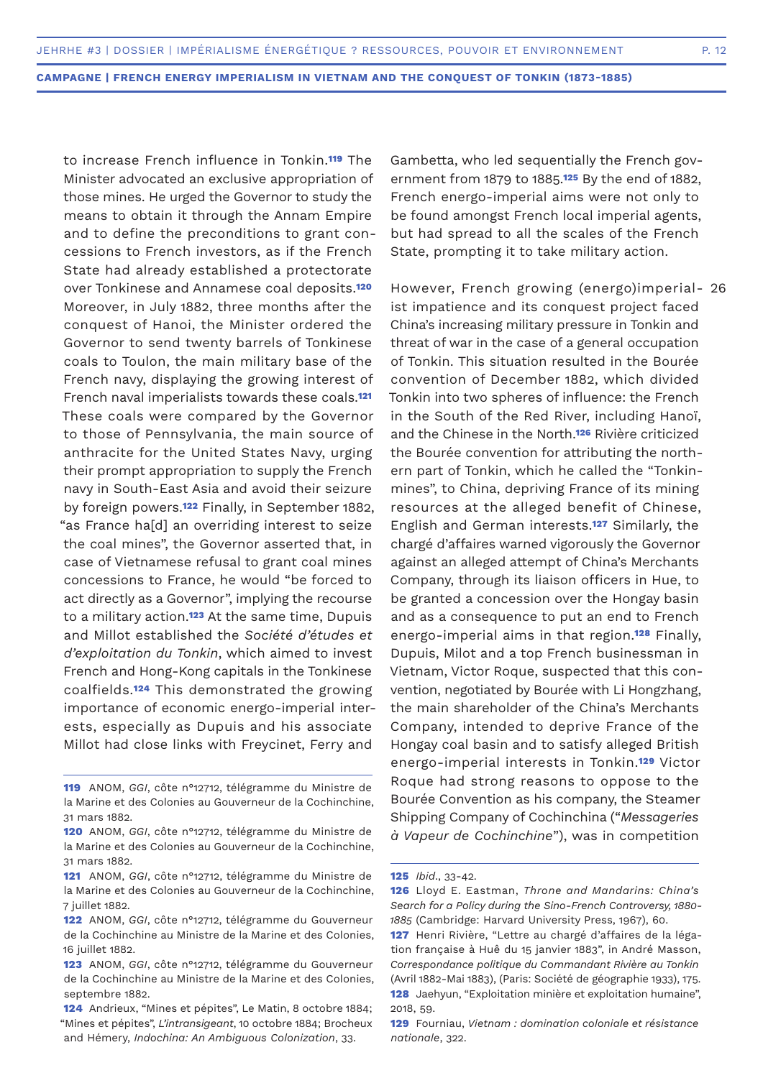to increase French influence in Tonkin.**119** The Minister advocated an exclusive appropriation of those mines. He urged the Governor to study the means to obtain it through the Annam Empire and to define the preconditions to grant concessions to French investors, as if the French State had already established a protectorate over Tonkinese and Annamese coal deposits.**<sup>120</sup>** Moreover, in July 1882, three months after the conquest of Hanoi, the Minister ordered the Governor to send twenty barrels of Tonkinese coals to Toulon, the main military base of the French navy, displaying the growing interest of French naval imperialists towards these coals.**<sup>121</sup>** These coals were compared by the Governor to those of Pennsylvania, the main source of anthracite for the United States Navy, urging their prompt appropriation to supply the French navy in South-East Asia and avoid their seizure by foreign powers.**122** Finally, in September 1882, "as France ha[d] an overriding interest to seize the coal mines", the Governor asserted that, in case of Vietnamese refusal to grant coal mines concessions to France, he would "be forced to act directly as a Governor", implying the recourse to a military action.**123** At the same time, Dupuis and Millot established the *Société d'études et d'exploitation du Tonkin*, which aimed to invest French and Hong-Kong capitals in the Tonkinese coalfields.**124** This demonstrated the growing importance of economic energo-imperial interests, especially as Dupuis and his associate Millot had close links with Freycinet, Ferry and

**119** ANOM, *GGI*, côte n°12712, télégramme du Ministre de la Marine et des Colonies au Gouverneur de la Cochinchine, 31 mars 1882.

- **120** ANOM, *GGI*, côte n°12712, télégramme du Ministre de la Marine et des Colonies au Gouverneur de la Cochinchine, 31 mars 1882.
- **121** ANOM, *GGI*, côte n°12712, télégramme du Ministre de la Marine et des Colonies au Gouverneur de la Cochinchine, 7 juillet 1882.
- **122** ANOM, *GGI*, côte n°12712, télégramme du Gouverneur de la Cochinchine au Ministre de la Marine et des Colonies, 16 juillet 1882.
- **123** ANOM, *GGI*, côte n°12712, télégramme du Gouverneur de la Cochinchine au Ministre de la Marine et des Colonies, septembre 1882.
- **124** Andrieux, "Mines et pépites", Le Matin, 8 octobre 1884; "Mines et pépites", *L'intransigeant*, 10 octobre 1884; Brocheux and Hémery, *Indochina: An Ambiguous Colonization*, 33.

Gambetta, who led sequentially the French government from 1879 to 1885.**125** By the end of 1882, French energo-imperial aims were not only to be found amongst French local imperial agents, but had spread to all the scales of the French State, prompting it to take military action.

However, French growing (energo)imperial-26ist impatience and its conquest project faced China's increasing military pressure in Tonkin and threat of war in the case of a general occupation of Tonkin. This situation resulted in the Bourée convention of December 1882, which divided Tonkin into two spheres of influence: the French in the South of the Red River, including Hanoï, and the Chinese in the North.**126** Rivière criticized the Bourée convention for attributing the northern part of Tonkin, which he called the "Tonkinmines", to China, depriving France of its mining resources at the alleged benefit of Chinese, English and German interests.**127** Similarly, the chargé d'affaires warned vigorously the Governor against an alleged attempt of China's Merchants Company, through its liaison officers in Hue, to be granted a concession over the Hongay basin and as a consequence to put an end to French energo-imperial aims in that region.**128** Finally, Dupuis, Milot and a top French businessman in Vietnam, Victor Roque, suspected that this convention, negotiated by Bourée with Li Hongzhang, the main shareholder of the China's Merchants Company, intended to deprive France of the Hongay coal basin and to satisfy alleged British energo-imperial interests in Tonkin.**129** Victor Roque had strong reasons to oppose to the Bourée Convention as his company, the Steamer Shipping Company of Cochinchina ("*Messageries à Vapeur de Cochinchine*"), was in competition

**<sup>125</sup>** *Ibid*., 33-42.

**<sup>126</sup>** Lloyd E. Eastman, *Throne and Mandarins: China's Search for a Policy during the Sino-French Controversy, 1880- 1885* (Cambridge: Harvard University Press, 1967), 60.

**<sup>127</sup>** Henri Rivière, "Lettre au chargé d'affaires de la légation française à Huê du 15 janvier 1883", in André Masson, *Correspondance politique du Commandant Rivière au Tonkin* (Avril 1882-Mai 1883), (Paris: Société de géographie 1933), 175. **128** Jaehyun, "Exploitation minière et exploitation humaine", 2018, 59.

**<sup>129</sup>** Fourniau, *Vietnam : domination coloniale et résistance nationale*, 322.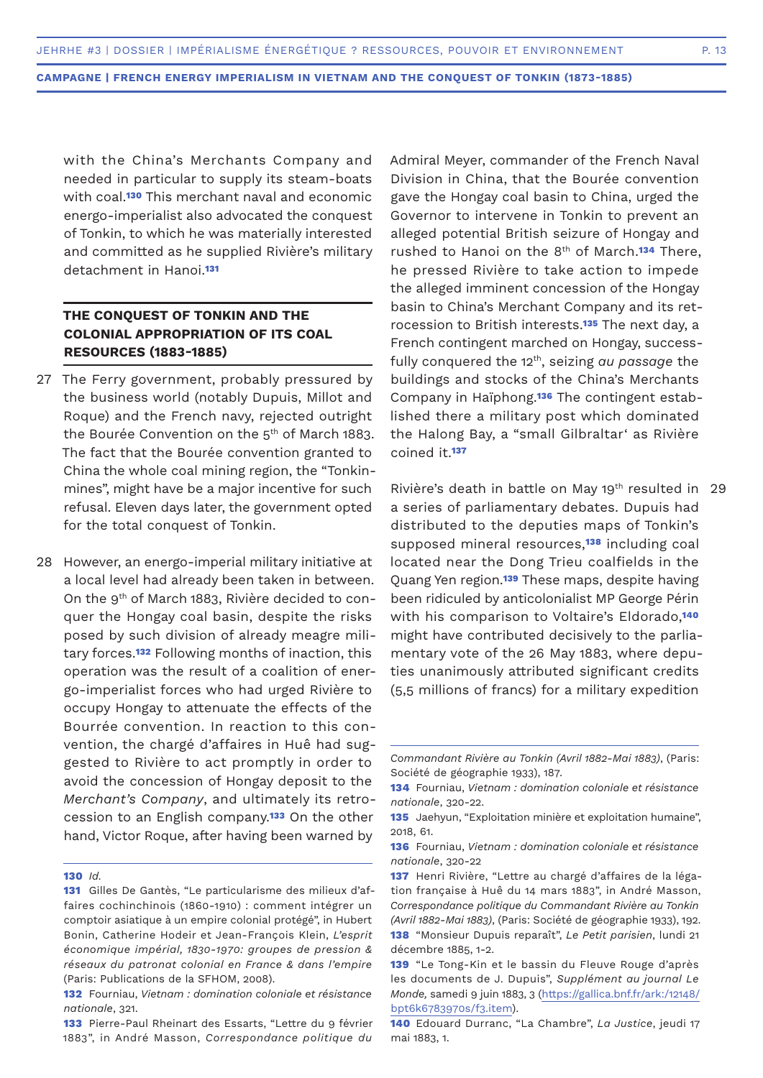with the China's Merchants Company and needed in particular to supply its steam-boats with coal.**130** This merchant naval and economic energo-imperialist also advocated the conquest of Tonkin, to which he was materially interested and committed as he supplied Rivière's military detachment in Hanoi.**<sup>131</sup>**

# **THE CONQUEST OF TONKIN AND THE COLONIAL APPROPRIATION OF ITS COAL RESOURCES (1883-1885)**

- 27 The Ferry government, probably pressured by the business world (notably Dupuis, Millot and Roque) and the French navy, rejected outright the Bourée Convention on the  $5<sup>th</sup>$  of March 1883. The fact that the Bourée convention granted to China the whole coal mining region, the "Tonkinmines", might have be a major incentive for such refusal. Eleven days later, the government opted for the total conquest of Tonkin.
- 28 However, an energo-imperial military initiative at a local level had already been taken in between. On the 9th of March 1883, Rivière decided to conquer the Hongay coal basin, despite the risks posed by such division of already meagre military forces.**132** Following months of inaction, this operation was the result of a coalition of energo-imperialist forces who had urged Rivière to occupy Hongay to attenuate the effects of the Bourrée convention. In reaction to this convention, the chargé d'affaires in Huê had suggested to Rivière to act promptly in order to avoid the concession of Hongay deposit to the *Merchant's Company*, and ultimately its retrocession to an English company.**133** On the other hand, Victor Roque, after having been warned by

Admiral Meyer, commander of the French Naval Division in China, that the Bourée convention gave the Hongay coal basin to China, urged the Governor to intervene in Tonkin to prevent an alleged potential British seizure of Hongay and rushed to Hanoi on the 8th of March.**134** There, he pressed Rivière to take action to impede the alleged imminent concession of the Hongay basin to China's Merchant Company and its retrocession to British interests.**135** The next day, a French contingent marched on Hongay, successfully conquered the 12th, seizing *au passage* the buildings and stocks of the China's Merchants Company in Haïphong.**136** The contingent established there a military post which dominated the Halong Bay, a "small Gilbraltar' as Rivière coined it.**<sup>137</sup>**

Rivière's death in battle on May 19<sup>th</sup> resulted in a series of parliamentary debates. Dupuis had distributed to the deputies maps of Tonkin's supposed mineral resources,**138** including coal located near the Dong Trieu coalfields in the Quang Yen region.**139** These maps, despite having been ridiculed by anticolonialist MP George Périn with his comparison to Voltaire's Eldorado,**<sup>140</sup>** might have contributed decisively to the parliamentary vote of the 26 May 1883, where deputies unanimously attributed significant credits (5,5 millions of francs) for a military expedition 29

**<sup>130</sup>** *Id.*

**<sup>131</sup>** Gilles De Gantès, "Le particularisme des milieux d'affaires cochinchinois (1860-1910) : comment intégrer un comptoir asiatique à un empire colonial protégé", in Hubert Bonin, Catherine Hodeir et Jean-François Klein, *L'esprit économique impérial, 1830-1970: groupes de pression & réseaux du patronat colonial en France & dans l'empire*  (Paris: Publications de la SFHOM, 2008).

**<sup>132</sup>** Fourniau, *Vietnam : domination coloniale et résistance nationale*, 321.

**<sup>133</sup>** Pierre-Paul Rheinart des Essarts, "Lettre du 9 février 1883", in André Masson, *Correspondance politique du* 

*Commandant Rivière au Tonkin (Avril 1882-Mai 1883)*, (Paris: Société de géographie 1933), 187.

**<sup>134</sup>** Fourniau, *Vietnam : domination coloniale et résistance nationale*, 320-22.

**<sup>135</sup>** Jaehyun, "Exploitation minière et exploitation humaine", 2018, 61.

**<sup>136</sup>** Fourniau, *Vietnam : domination coloniale et résistance nationale*, 320-22

**<sup>137</sup>** Henri Rivière, "Lettre au chargé d'affaires de la légation française à Huê du 14 mars 1883", in André Masson, *Correspondance politique du Commandant Rivière au Tonkin (Avril 1882-Mai 1883)*, (Paris: Société de géographie 1933), 192. **138** "Monsieur Dupuis reparaît", *Le Petit parisien*, lundi 21 décembre 1885, 1-2.

**<sup>139</sup>** "Le Tong-Kin et le bassin du Fleuve Rouge d'après les documents de J. Dupuis", *Supplément au journal Le Monde,* samedi 9 juin 1883, 3 (https://gallica.bnf.fr/ark:/12148/ bpt6k6783970s/f3.item).

**<sup>140</sup>** Edouard Durranc, "La Chambre", *La Justice*, jeudi 17 mai 1883, 1.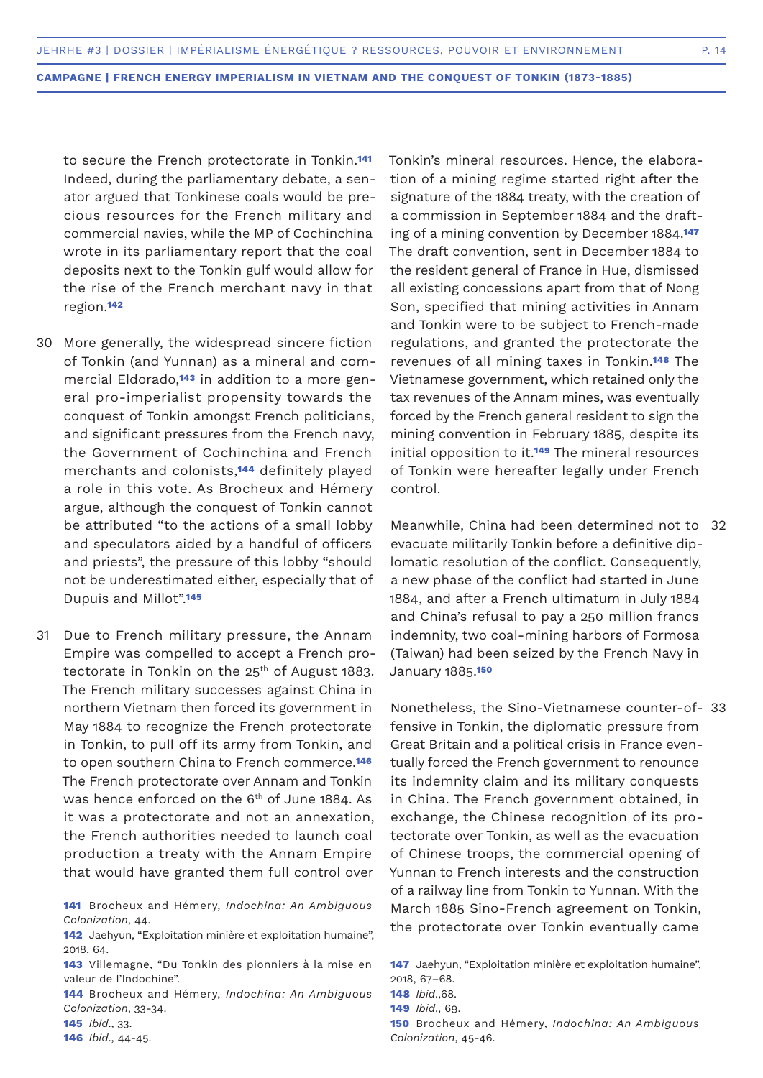to secure the French protectorate in Tonkin.**<sup>141</sup>** Indeed, during the parliamentary debate, a senator argued that Tonkinese coals would be precious resources for the French military and commercial navies, while the MP of Cochinchina wrote in its parliamentary report that the coal deposits next to the Tonkin gulf would allow for the rise of the French merchant navy in that region.**<sup>142</sup>**

- More generally, the widespread sincere fiction 30 of Tonkin (and Yunnan) as a mineral and commercial Eldorado,**143** in addition to a more general pro-imperialist propensity towards the conquest of Tonkin amongst French politicians, and significant pressures from the French navy, the Government of Cochinchina and French merchants and colonists,**144** definitely played a role in this vote. As Brocheux and Hémery argue, although the conquest of Tonkin cannot be attributed "to the actions of a small lobby and speculators aided by a handful of officers and priests", the pressure of this lobby "should not be underestimated either, especially that of Dupuis and Millot".**<sup>145</sup>**
- Due to French military pressure, the Annam Empire was compelled to accept a French protectorate in Tonkin on the  $25<sup>th</sup>$  of August 1883. The French military successes against China in northern Vietnam then forced its government in May 1884 to recognize the French protectorate in Tonkin, to pull off its army from Tonkin, and to open southern China to French commerce.**<sup>146</sup>** The French protectorate over Annam and Tonkin was hence enforced on the 6<sup>th</sup> of June 1884. As it was a protectorate and not an annexation, the French authorities needed to launch coal production a treaty with the Annam Empire that would have granted them full control over 31

**145** *Ibid*., 33.

**146** *Ibid*., 44-45.

Tonkin's mineral resources. Hence, the elaboration of a mining regime started right after the signature of the 1884 treaty, with the creation of a commission in September 1884 and the drafting of a mining convention by December 1884.**<sup>147</sup>** The draft convention, sent in December 1884 to the resident general of France in Hue, dismissed all existing concessions apart from that of Nong Son, specified that mining activities in Annam and Tonkin were to be subject to French-made regulations, and granted the protectorate the revenues of all mining taxes in Tonkin.**148** The Vietnamese government, which retained only the tax revenues of the Annam mines, was eventually forced by the French general resident to sign the mining convention in February 1885, despite its initial opposition to it.**149** The mineral resources of Tonkin were hereafter legally under French control.

Meanwhile, China had been determined not to 32 evacuate militarily Tonkin before a definitive diplomatic resolution of the conflict. Consequently, a new phase of the conflict had started in June 1884, and after a French ultimatum in July 1884 and China's refusal to pay a 250 million francs indemnity, two coal-mining harbors of Formosa (Taiwan) had been seized by the French Navy in January 1885.**<sup>150</sup>**

Nonetheless, the Sino-Vietnamese counter-of-33fensive in Tonkin, the diplomatic pressure from Great Britain and a political crisis in France eventually forced the French government to renounce its indemnity claim and its military conquests in China. The French government obtained, in exchange, the Chinese recognition of its protectorate over Tonkin, as well as the evacuation of Chinese troops, the commercial opening of Yunnan to French interests and the construction of a railway line from Tonkin to Yunnan. With the March 1885 Sino-French agreement on Tonkin, the protectorate over Tonkin eventually came

**<sup>141</sup>** Brocheux and Hémery, *Indochina: An Ambiguous Colonization*, 44.

**<sup>142</sup>** Jaehyun, "Exploitation minière et exploitation humaine", 2018, 64.

**<sup>143</sup>** Villemagne, "Du Tonkin des pionniers à la mise en valeur de l'Indochine".

**<sup>144</sup>** Brocheux and Hémery, *Indochina: An Ambiguous Colonization*, 33-34.

**<sup>147</sup>** Jaehyun, "Exploitation minière et exploitation humaine", 2018, 67–68.

**<sup>148</sup>** *Ibid*.,68.

**<sup>149</sup>** *Ibid*., 69.

**<sup>150</sup>** Brocheux and Hémery, *Indochina: An Ambiguous Colonization*, 45-46.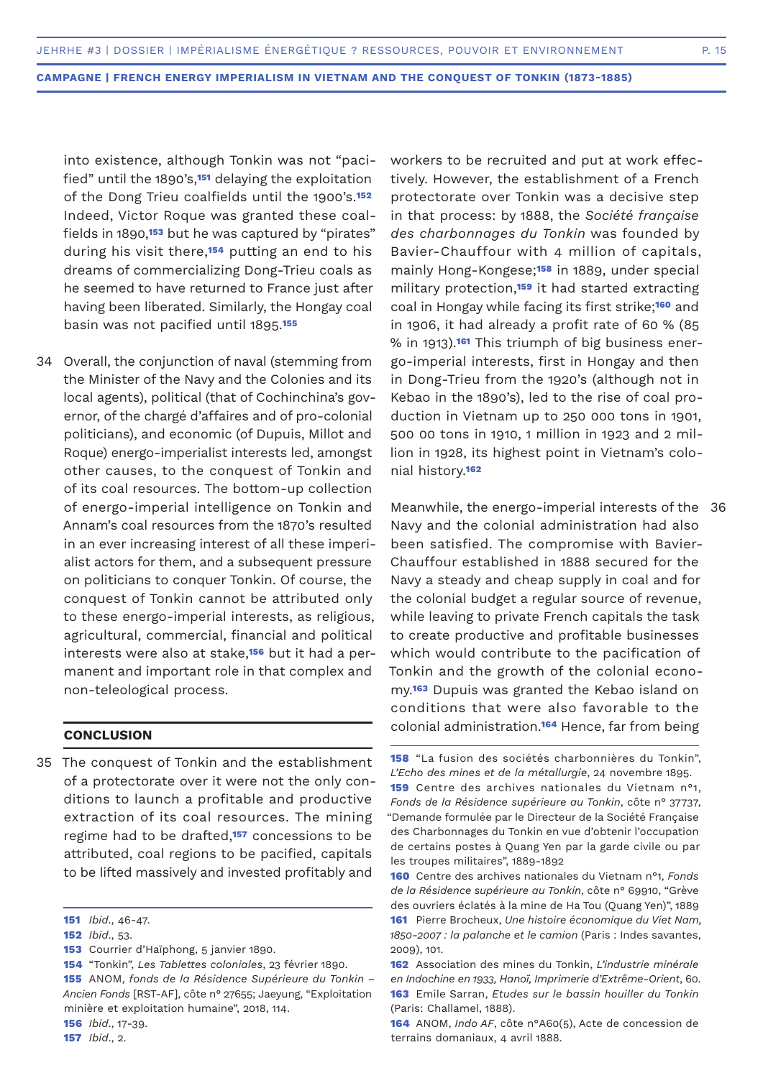into existence, although Tonkin was not "pacified" until the 1890's,**151** delaying the exploitation of the Dong Trieu coalfields until the 1900's.**<sup>152</sup>** Indeed, Victor Roque was granted these coalfields in 1890,**153** but he was captured by "pirates" during his visit there,**154** putting an end to his dreams of commercializing Dong-Trieu coals as he seemed to have returned to France just after having been liberated. Similarly, the Hongay coal basin was not pacified until 1895.**<sup>155</sup>**

34 Overall, the conjunction of naval (stemming from the Minister of the Navy and the Colonies and its local agents), political (that of Cochinchina's governor, of the chargé d'affaires and of pro-colonial politicians), and economic (of Dupuis, Millot and Roque) energo-imperialist interests led, amongst other causes, to the conquest of Tonkin and of its coal resources. The bottom-up collection of energo-imperial intelligence on Tonkin and Annam's coal resources from the 1870's resulted in an ever increasing interest of all these imperialist actors for them, and a subsequent pressure on politicians to conquer Tonkin. Of course, the conquest of Tonkin cannot be attributed only to these energo-imperial interests, as religious, agricultural, commercial, financial and political interests were also at stake,**156** but it had a permanent and important role in that complex and non-teleological process.

## **CONCLUSION**

35 The conquest of Tonkin and the establishment of a protectorate over it were not the only conditions to launch a profitable and productive extraction of its coal resources. The mining regime had to be drafted,**157** concessions to be attributed, coal regions to be pacified, capitals to be lifted massively and invested profitably and

**153** Courrier d'Haïphong, 5 janvier 1890.

**156** *Ibid*., 17-39.

**157** *Ibid*., 2.

workers to be recruited and put at work effectively. However, the establishment of a French protectorate over Tonkin was a decisive step in that process: by 1888, the *Société française des charbonnages du Tonkin* was founded by Bavier-Chauffour with 4 million of capitals, mainly Hong-Kongese;**158** in 1889, under special military protection,**159** it had started extracting coal in Hongay while facing its first strike;**160** and in 1906, it had already a profit rate of 60 % (85 % in 1913).**161** This triumph of big business energo-imperial interests, first in Hongay and then in Dong-Trieu from the 1920's (although not in Kebao in the 1890's), led to the rise of coal production in Vietnam up to 250 000 tons in 1901, 500 00 tons in 1910, 1 million in 1923 and 2 million in 1928, its highest point in Vietnam's colonial history.**<sup>162</sup>**

Meanwhile, the energo-imperial interests of the 36 Navy and the colonial administration had also been satisfied. The compromise with Bavier-Chauffour established in 1888 secured for the Navy a steady and cheap supply in coal and for the colonial budget a regular source of revenue, while leaving to private French capitals the task to create productive and profitable businesses which would contribute to the pacification of Tonkin and the growth of the colonial economy.**163** Dupuis was granted the Kebao island on conditions that were also favorable to the colonial administration.**164** Hence, far from being

**<sup>151</sup>** *Ibid*., 46-47.

**<sup>152</sup>** *Ibid*., 53.

**<sup>154</sup>** "Tonkin", *Les Tablettes coloniales*, 23 février 1890. **155** ANOM, *fonds de la Résidence Supérieure du Tonkin – Ancien Fonds* [RST-AF], côte n° 27655; Jaeyung, "Exploitation minière et exploitation humaine", 2018, 114.

**<sup>158</sup>** "La fusion des sociétés charbonnières du Tonkin", *L'Echo des mines et de la métallurgie*, 24 novembre 1895. **159** Centre des archives nationales du Vietnam n°1, *Fonds de la Résidence supérieure au Tonkin*, côte n° 37737, "Demande formulée par le Directeur de la Société Française des Charbonnages du Tonkin en vue d'obtenir l'occupation de certains postes à Quang Yen par la garde civile ou par les troupes militaires", 1889-1892

**<sup>160</sup>** Centre des archives nationales du Vietnam n°1, *Fonds de la Résidence supérieure au Tonkin*, côte n° 69910, "Grève des ouvriers éclatés à la mine de Ha Tou (Quang Yen)", 1889 **161** Pierre Brocheux, *Une histoire économique du Viet Nam, 1850-2007 : la palanche et le camion* (Paris : Indes savantes, 2009), 101.

**<sup>162</sup>** Association des mines du Tonkin, *L'industrie minérale en Indochine en 1933, Hanoï, Imprimerie d'Extrême-Orient*, 60. **163** Emile Sarran, *Etudes sur le bassin houiller du Tonkin* (Paris: Challamel, 1888).

**<sup>164</sup>** ANOM, *Indo AF*, côte n°A60(5), Acte de concession de terrains domaniaux, 4 avril 1888.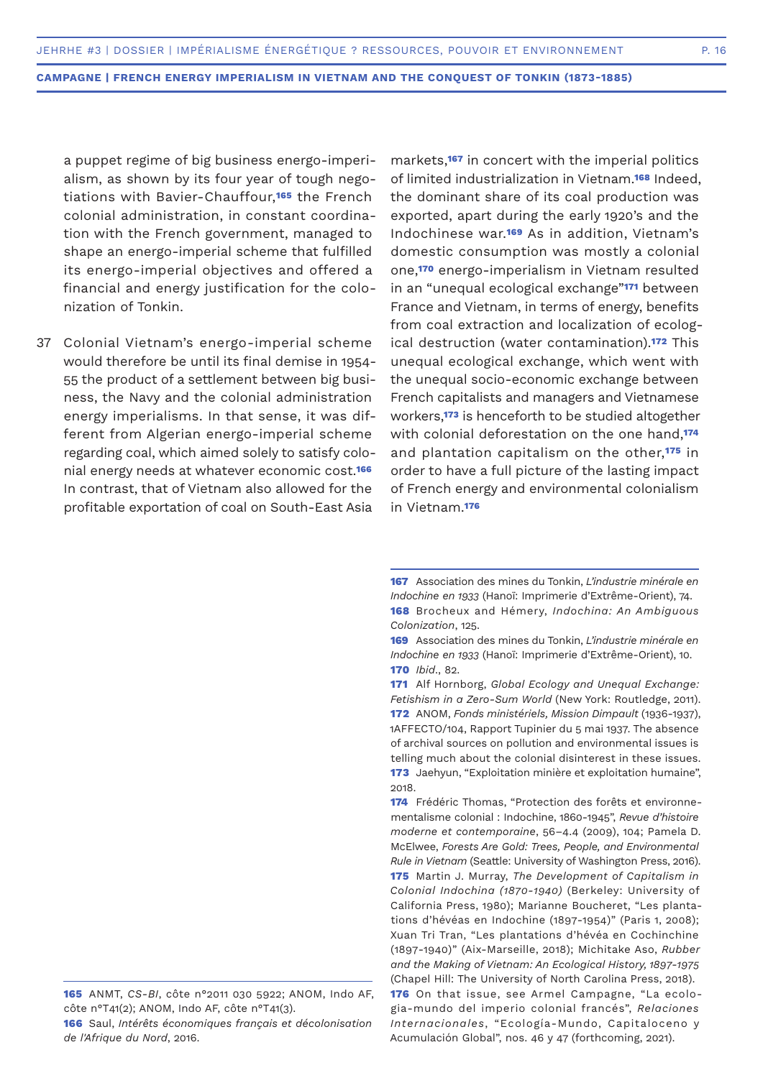a puppet regime of big business energo-imperialism, as shown by its four year of tough negotiations with Bavier-Chauffour,**165** the French colonial administration, in constant coordination with the French government, managed to shape an energo-imperial scheme that fulfilled its energo-imperial objectives and offered a financial and energy justification for the colonization of Tonkin.

Colonial Vietnam's energo-imperial scheme 37would therefore be until its final demise in 1954- 55 the product of a settlement between big business, the Navy and the colonial administration energy imperialisms. In that sense, it was different from Algerian energo-imperial scheme regarding coal, which aimed solely to satisfy colonial energy needs at whatever economic cost.**<sup>166</sup>** In contrast, that of Vietnam also allowed for the profitable exportation of coal on South-East Asia

markets,**167** in concert with the imperial politics of limited industrialization in Vietnam.**168** Indeed, the dominant share of its coal production was exported, apart during the early 1920's and the Indochinese war.**169** As in addition, Vietnam's domestic consumption was mostly a colonial one,**170** energo-imperialism in Vietnam resulted in an "unequal ecological exchange"**171** between France and Vietnam, in terms of energy, benefits from coal extraction and localization of ecological destruction (water contamination).**172** This unequal ecological exchange, which went with the unequal socio-economic exchange between French capitalists and managers and Vietnamese workers,**173** is henceforth to be studied altogether with colonial deforestation on the one hand,**<sup>174</sup>** and plantation capitalism on the other,**175** in order to have a full picture of the lasting impact of French energy and environmental colonialism in Vietnam.**<sup>176</sup>**

**<sup>167</sup>** Association des mines du Tonkin, *L'industrie minérale en Indochine en 1933* (Hanoï: Imprimerie d'Extrême-Orient), 74. **168** Brocheux and Hémery, *Indochina: An Ambiguous Colonization*, 125.

**<sup>169</sup>** Association des mines du Tonkin, *L'industrie minérale en Indochine en 1933* (Hanoï: Imprimerie d'Extrême-Orient), 10. **170** *Ibid*., 82.

**<sup>171</sup>** Alf Hornborg, *Global Ecology and Unequal Exchange: Fetishism in a Zero-Sum World* (New York: Routledge, 2011). **172** ANOM, *Fonds ministériels, Mission Dimpault* (1936-1937), 1AFFECTO/104, Rapport Tupinier du 5 mai 1937. The absence of archival sources on pollution and environmental issues is telling much about the colonial disinterest in these issues. **173** Jaehyun, "Exploitation minière et exploitation humaine", 2018.

**<sup>174</sup>** Frédéric Thomas, "Protection des forêts et environnementalisme colonial : Indochine, 1860-1945", *Revue d'histoire moderne et contemporaine*, 56–4.4 (2009), 104; Pamela D. McElwee, *Forests Are Gold: Trees, People, and Environmental Rule in Vietnam* (Seattle: University of Washington Press, 2016). **175** Martin J. Murray, *The Development of Capitalism in Colonial Indochina (1870-1940)* (Berkeley: University of California Press, 1980); Marianne Boucheret, "Les plantations d'hévéas en Indochine (1897-1954)" (Paris 1, 2008); Xuan Tri Tran, "Les plantations d'hévéa en Cochinchine (1897-1940)" (Aix-Marseille, 2018); Michitake Aso, *Rubber and the Making of Vietnam: An Ecological History, 1897-1975* (Chapel Hill: The University of North Carolina Press, 2018). **176** On that issue, see Armel Campagne, "La ecologia-mundo del imperio colonial francés", *Relaciones Internacionales*, "Ecología-Mundo, Capitaloceno y Acumulación Global", nos. 46 y 47 (forthcoming, 2021).

**<sup>165</sup>** ANMT, *CS-BI*, côte n°2011 030 5922; ANOM, Indo AF, côte n°T41(2); ANOM, Indo AF, côte n°T41(3).

**<sup>166</sup>** Saul, *Intérêts économiques français et décolonisation de l'Afrique du Nord*, 2016.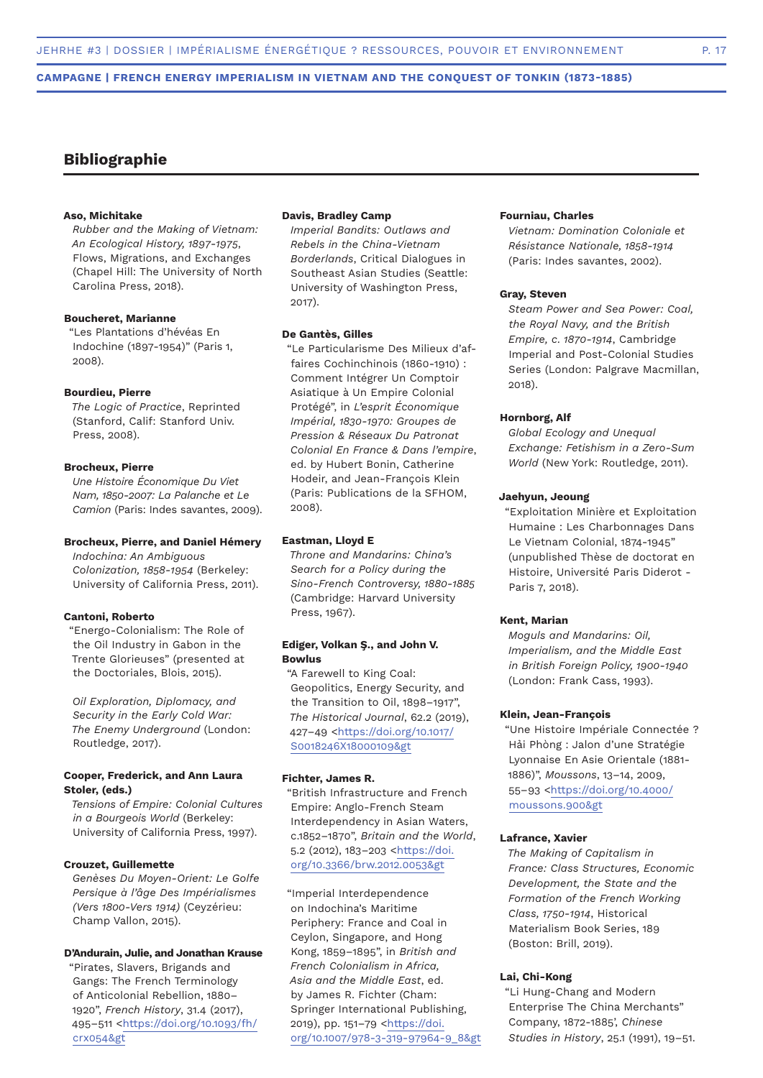# **Bibliographie**

# **Aso, Michitake**

*Rubber and the Making of Vietnam: An Ecological History, 1897-1975*, Flows, Migrations, and Exchanges (Chapel Hill: The University of North Carolina Press, 2018).

#### **Boucheret, Marianne**

"Les Plantations d'hévéas En Indochine (1897-1954)" (Paris 1, 2008).

## **Bourdieu, Pierre**

*The Logic of Practice*, Reprinted (Stanford, Calif: Stanford Univ. Press, 2008).

# **Brocheux, Pierre**

*Une Histoire Économique Du Viet Nam, 1850-2007: La Palanche et Le Camion* (Paris: Indes savantes, 2009).

## **Brocheux, Pierre, and Daniel Hémery**

*Indochina: An Ambiguous Colonization, 1858-1954* (Berkeley: University of California Press, 2011).

#### **Cantoni, Roberto**

"Energo-Colonialism: The Role of the Oil Industry in Gabon in the Trente Glorieuses" (presented at the Doctoriales, Blois, 2015).

*Oil Exploration, Diplomacy, and Security in the Early Cold War: The Enemy Underground* (London: Routledge, 2017).

# **Cooper, Frederick, and Ann Laura Stoler, (eds.)**

*Tensions of Empire: Colonial Cultures in a Bourgeois World* (Berkeley: University of California Press, 1997).

## **Crouzet, Guillemette**

*Genèses Du Moyen-Orient: Le Golfe Persique à l'âge Des Impérialismes (Vers 1800-Vers 1914)* (Ceyzérieu: Champ Vallon, 2015).

#### **D'Andurain, Julie, and Jonathan Krause**

"Pirates, Slavers, Brigands and Gangs: The French Terminology of Anticolonial Rebellion, 1880– 1920", *French History*, 31.4 (2017), 495–511 <https://doi.org/10.1093/fh/ crx054&gt

## **Davis, Bradley Camp**

*Imperial Bandits: Outlaws and Rebels in the China-Vietnam Borderlands*, Critical Dialogues in Southeast Asian Studies (Seattle: University of Washington Press, 2017).

# **De Gantès, Gilles**

"Le Particularisme Des Milieux d'affaires Cochinchinois (1860-1910) : Comment Intégrer Un Comptoir Asiatique à Un Empire Colonial Protégé", in *L'esprit Économique Impérial, 1830-1970: Groupes de Pression & Réseaux Du Patronat Colonial En France & Dans l'empire*, ed. by Hubert Bonin, Catherine Hodeir, and Jean-François Klein (Paris: Publications de la SFHOM, 2008).

#### **Eastman, Lloyd E**

*Throne and Mandarins: China's Search for a Policy during the Sino-French Controversy, 1880-1885* (Cambridge: Harvard University Press, 1967).

#### **Ediger, Volkan Ş., and John V. Bowlus**

"A Farewell to King Coal: Geopolitics, Energy Security, and the Transition to Oil, 1898–1917", *The Historical Journal*, 62.2 (2019), 427–49 <https://doi.org/10.1017/ S0018246X18000109&gt

#### **Fichter, James R.**

"British Infrastructure and French Empire: Anglo-French Steam Interdependency in Asian Waters, c.1852–1870", *Britain and the World*, 5.2 (2012), 183–203 <https://doi. org/10.3366/brw.2012.0053&gt

"Imperial Interdependence on Indochina's Maritime Periphery: France and Coal in Ceylon, Singapore, and Hong Kong, 1859–1895", in *British and French Colonialism in Africa, Asia and the Middle East*, ed. by James R. Fichter (Cham: Springer International Publishing, 2019), pp. 151–79 <https://doi. org/10.1007/978-3-319-97964-9\_8&gt

## **Fourniau, Charles**

*Vietnam: Domination Coloniale et Résistance Nationale, 1858-1914* (Paris: Indes savantes, 2002).

#### **Gray, Steven**

*Steam Power and Sea Power: Coal, the Royal Navy, and the British Empire, c. 1870-1914*, Cambridge Imperial and Post-Colonial Studies Series (London: Palgrave Macmillan, 2018).

# **Hornborg, Alf**

*Global Ecology and Unequal Exchange: Fetishism in a Zero-Sum World* (New York: Routledge, 2011).

# **Jaehyun, Jeoung**

"Exploitation Minière et Exploitation Humaine : Les Charbonnages Dans Le Vietnam Colonial, 1874-1945" (unpublished Thèse de doctorat en Histoire, Université Paris Diderot - Paris 7, 2018).

#### **Kent, Marian**

*Moguls and Mandarins: Oil, Imperialism, and the Middle East in British Foreign Policy, 1900-1940* (London: Frank Cass, 1993).

#### **Klein, Jean-François**

"Une Histoire Impériale Connectée ? Hải Phòng : Jalon d'une Stratégie Lyonnaise En Asie Orientale (1881- 1886)", *Moussons*, 13–14, 2009, 55–93 <https://doi.org/10.4000/ moussons.900&gt

## **Lafrance, Xavier**

*The Making of Capitalism in France: Class Structures, Economic Development, the State and the Formation of the French Working Class, 1750-1914*, Historical Materialism Book Series, 189 (Boston: Brill, 2019).

#### **Lai, Chi-Kong**

"Li Hung-Chang and Modern Enterprise The China Merchants" Company, 1872-1885', *Chinese Studies in History*, 25.1 (1991), 19–51.